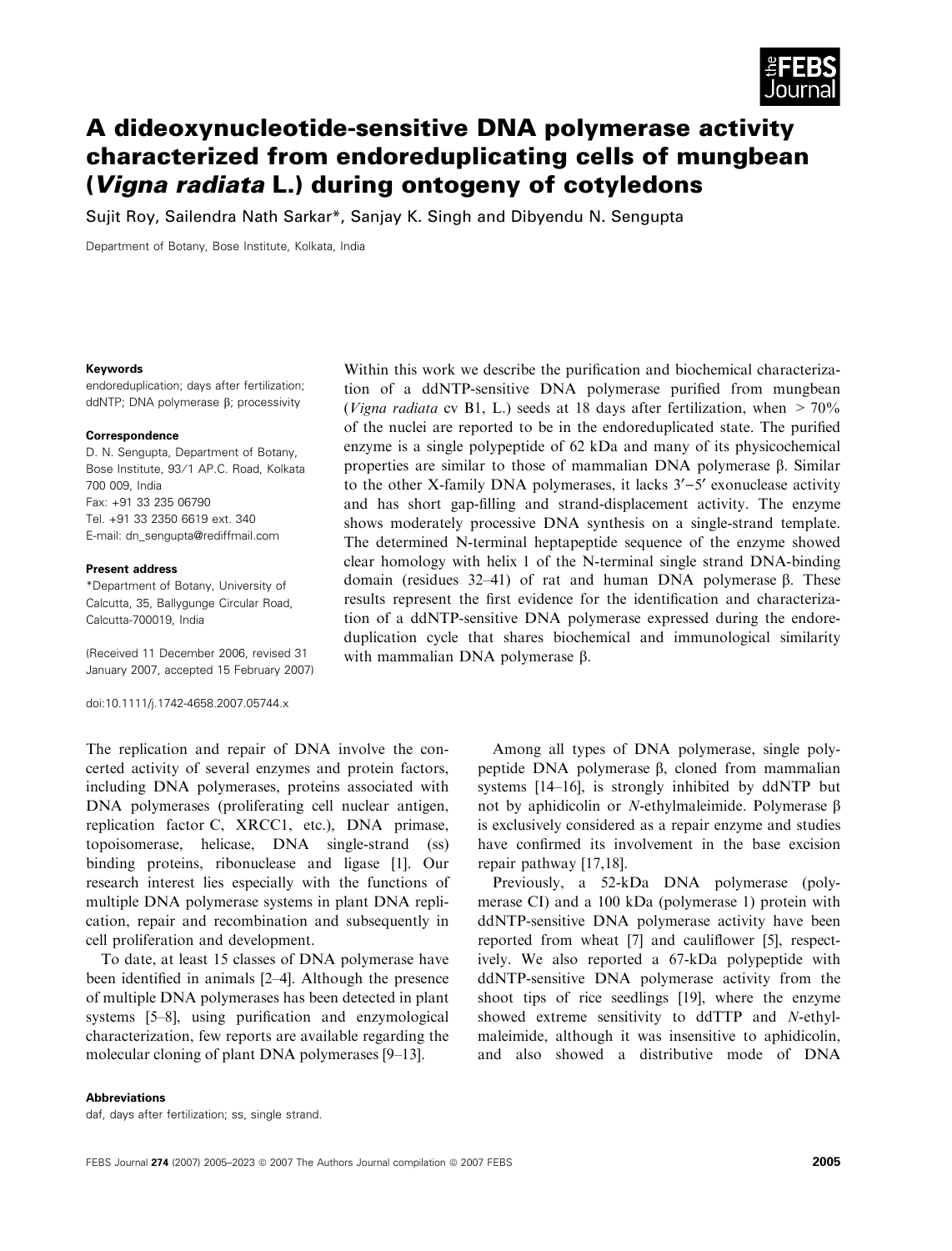

# A dideoxynucleotide-sensitive DNA polymerase activity characterized from endoreduplicating cells of mungbean (Vigna radiata L.) during ontogeny of cotyledons

Sujit Roy, Sailendra Nath Sarkar\*, Sanjay K. Singh and Dibyendu N. Sengupta

Department of Botany, Bose Institute, Kolkata, India

#### Keywords

endoreduplication; days after fertilization; ddNTP; DNA polymerase  $\beta$ ; processivity

#### Correspondence

D. N. Sengupta, Department of Botany, Bose Institute, 93/1 AP.C. Road, Kolkata 700 009, India Fax: +91 33 235 06790 Tel. +91 33 2350 6619 ext. 340 E-mail: dn\_sengupta@rediffmail.com

#### Present address

\*Department of Botany, University of Calcutta, 35, Ballygunge Circular Road, Calcutta-700019, India

(Received 11 December 2006, revised 31 January 2007, accepted 15 February 2007)

doi:10.1111/j.1742-4658.2007.05744.x

Within this work we describe the purification and biochemical characterization of a ddNTP-sensitive DNA polymerase purified from mungbean (Vigna radiata cv B1, L.) seeds at 18 days after fertilization, when  $> 70\%$ of the nuclei are reported to be in the endoreduplicated state. The purified enzyme is a single polypeptide of 62 kDa and many of its physicochemical properties are similar to those of mammalian DNA polymerase  $\beta$ . Similar to the other X-family DNA polymerases, it lacks  $3'-5'$  exonuclease activity and has short gap-filling and strand-displacement activity. The enzyme shows moderately processive DNA synthesis on a single-strand template. The determined N-terminal heptapeptide sequence of the enzyme showed clear homology with helix 1 of the N-terminal single strand DNA-binding domain (residues 32–41) of rat and human DNA polymerase  $\beta$ . These results represent the first evidence for the identification and characterization of a ddNTP-sensitive DNA polymerase expressed during the endoreduplication cycle that shares biochemical and immunological similarity with mammalian DNA polymerase  $\beta$ .

The replication and repair of DNA involve the concerted activity of several enzymes and protein factors, including DNA polymerases, proteins associated with DNA polymerases (proliferating cell nuclear antigen, replication factor C, XRCC1, etc.), DNA primase, topoisomerase, helicase, DNA single-strand (ss) binding proteins, ribonuclease and ligase [1]. Our research interest lies especially with the functions of multiple DNA polymerase systems in plant DNA replication, repair and recombination and subsequently in cell proliferation and development.

To date, at least 15 classes of DNA polymerase have been identified in animals [2–4]. Although the presence of multiple DNA polymerases has been detected in plant systems [5–8], using purification and enzymological characterization, few reports are available regarding the molecular cloning of plant DNA polymerases [9–13].

Among all types of DNA polymerase, single polypeptide DNA polymerase  $\beta$ , cloned from mammalian systems [14–16], is strongly inhibited by ddNTP but not by aphidicolin or N-ethylmaleimide. Polymerase  $\beta$ is exclusively considered as a repair enzyme and studies have confirmed its involvement in the base excision repair pathway [17,18].

Previously, a 52-kDa DNA polymerase (polymerase CI) and a 100 kDa (polymerase 1) protein with ddNTP-sensitive DNA polymerase activity have been reported from wheat [7] and cauliflower [5], respectively. We also reported a 67-kDa polypeptide with ddNTP-sensitive DNA polymerase activity from the shoot tips of rice seedlings [19], where the enzyme showed extreme sensitivity to ddTTP and N-ethylmaleimide, although it was insensitive to aphidicolin, and also showed a distributive mode of DNA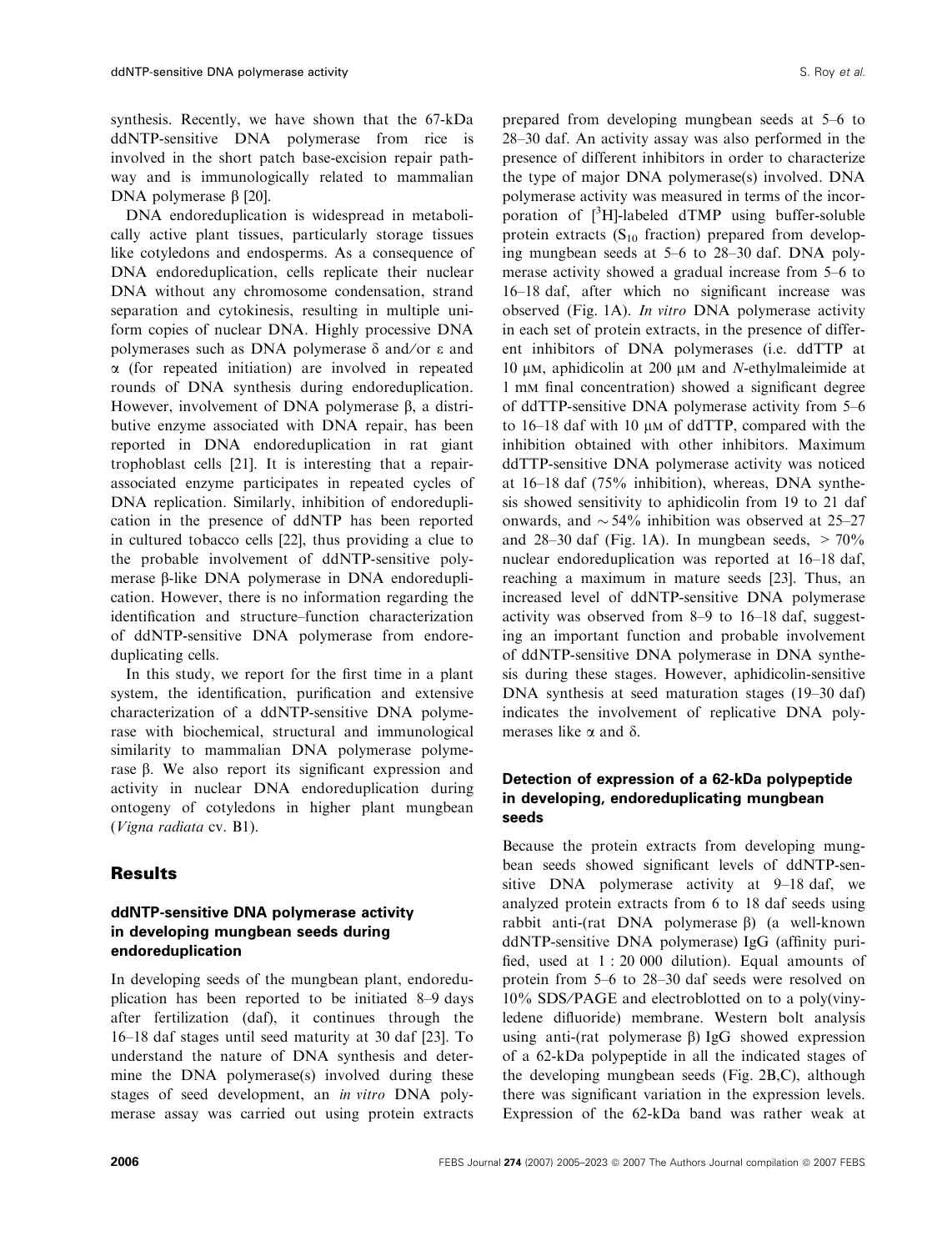synthesis. Recently, we have shown that the 67-kDa ddNTP-sensitive DNA polymerase from rice is involved in the short patch base-excision repair pathway and is immunologically related to mammalian DNA polymerase  $\beta$  [20].

DNA endoreduplication is widespread in metabolically active plant tissues, particularly storage tissues like cotyledons and endosperms. As a consequence of DNA endoreduplication, cells replicate their nuclear DNA without any chromosome condensation, strand separation and cytokinesis, resulting in multiple uniform copies of nuclear DNA. Highly processive DNA polymerases such as DNA polymerase  $\delta$  and/or  $\epsilon$  and  $\alpha$  (for repeated initiation) are involved in repeated rounds of DNA synthesis during endoreduplication. However, involvement of DNA polymerase  $\beta$ , a distributive enzyme associated with DNA repair, has been reported in DNA endoreduplication in rat giant trophoblast cells [21]. It is interesting that a repairassociated enzyme participates in repeated cycles of DNA replication. Similarly, inhibition of endoreduplication in the presence of ddNTP has been reported in cultured tobacco cells [22], thus providing a clue to the probable involvement of ddNTP-sensitive polymerase  $\beta$ -like DNA polymerase in DNA endoreduplication. However, there is no information regarding the identification and structure–function characterization of ddNTP-sensitive DNA polymerase from endoreduplicating cells.

In this study, we report for the first time in a plant system, the identification, purification and extensive characterization of a ddNTP-sensitive DNA polymerase with biochemical, structural and immunological similarity to mammalian DNA polymerase polymerase  $\beta$ . We also report its significant expression and activity in nuclear DNA endoreduplication during ontogeny of cotyledons in higher plant mungbean (Vigna radiata cv. B1).

# **Results**

# ddNTP-sensitive DNA polymerase activity in developing mungbean seeds during endoreduplication

In developing seeds of the mungbean plant, endoreduplication has been reported to be initiated 8–9 days after fertilization (daf), it continues through the 16–18 daf stages until seed maturity at 30 daf [23]. To understand the nature of DNA synthesis and determine the DNA polymerase(s) involved during these stages of seed development, an in vitro DNA polymerase assay was carried out using protein extracts prepared from developing mungbean seeds at 5–6 to 28–30 daf. An activity assay was also performed in the presence of different inhibitors in order to characterize the type of major DNA polymerase(s) involved. DNA polymerase activity was measured in terms of the incorporation of  $[^{3}H]$ -labeled dTMP using buffer-soluble protein extracts  $(S_{10}$  fraction) prepared from developing mungbean seeds at 5–6 to 28–30 daf. DNA polymerase activity showed a gradual increase from 5–6 to 16–18 daf, after which no significant increase was observed (Fig. 1A). In vitro DNA polymerase activity in each set of protein extracts, in the presence of different inhibitors of DNA polymerases (i.e. ddTTP at 10  $\mu$ M, aphidicolin at 200  $\mu$ M and N-ethylmaleimide at 1 mm final concentration) showed a significant degree of ddTTP-sensitive DNA polymerase activity from 5–6 to  $16-18$  daf with 10  $\mu$ m of ddTTP, compared with the inhibition obtained with other inhibitors. Maximum ddTTP-sensitive DNA polymerase activity was noticed at 16–18 daf (75% inhibition), whereas, DNA synthesis showed sensitivity to aphidicolin from 19 to 21 daf onwards, and  $\sim$  54% inhibition was observed at 25–27 and 28–30 daf (Fig. 1A). In mungbean seeds,  $> 70\%$ nuclear endoreduplication was reported at 16–18 daf, reaching a maximum in mature seeds [23]. Thus, an increased level of ddNTP-sensitive DNA polymerase activity was observed from 8–9 to 16–18 daf, suggesting an important function and probable involvement of ddNTP-sensitive DNA polymerase in DNA synthesis during these stages. However, aphidicolin-sensitive DNA synthesis at seed maturation stages (19–30 daf) indicates the involvement of replicative DNA polymerases like  $\alpha$  and  $\delta$ .

### Detection of expression of a 62-kDa polypeptide in developing, endoreduplicating mungbean seeds

Because the protein extracts from developing mungbean seeds showed significant levels of ddNTP-sensitive DNA polymerase activity at 9–18 daf, we analyzed protein extracts from 6 to 18 daf seeds using rabbit anti-(rat DNA polymerase  $\beta$ ) (a well-known ddNTP-sensitive DNA polymerase) IgG (affinity purified, used at 1 : 20 000 dilution). Equal amounts of protein from 5–6 to 28–30 daf seeds were resolved on  $10\%$  SDS/PAGE and electroblotted on to a poly(vinyledene difluoride) membrane. Western bolt analysis using anti-(rat polymerase  $\beta$ ) IgG showed expression of a 62-kDa polypeptide in all the indicated stages of the developing mungbean seeds (Fig. 2B,C), although there was significant variation in the expression levels. Expression of the 62-kDa band was rather weak at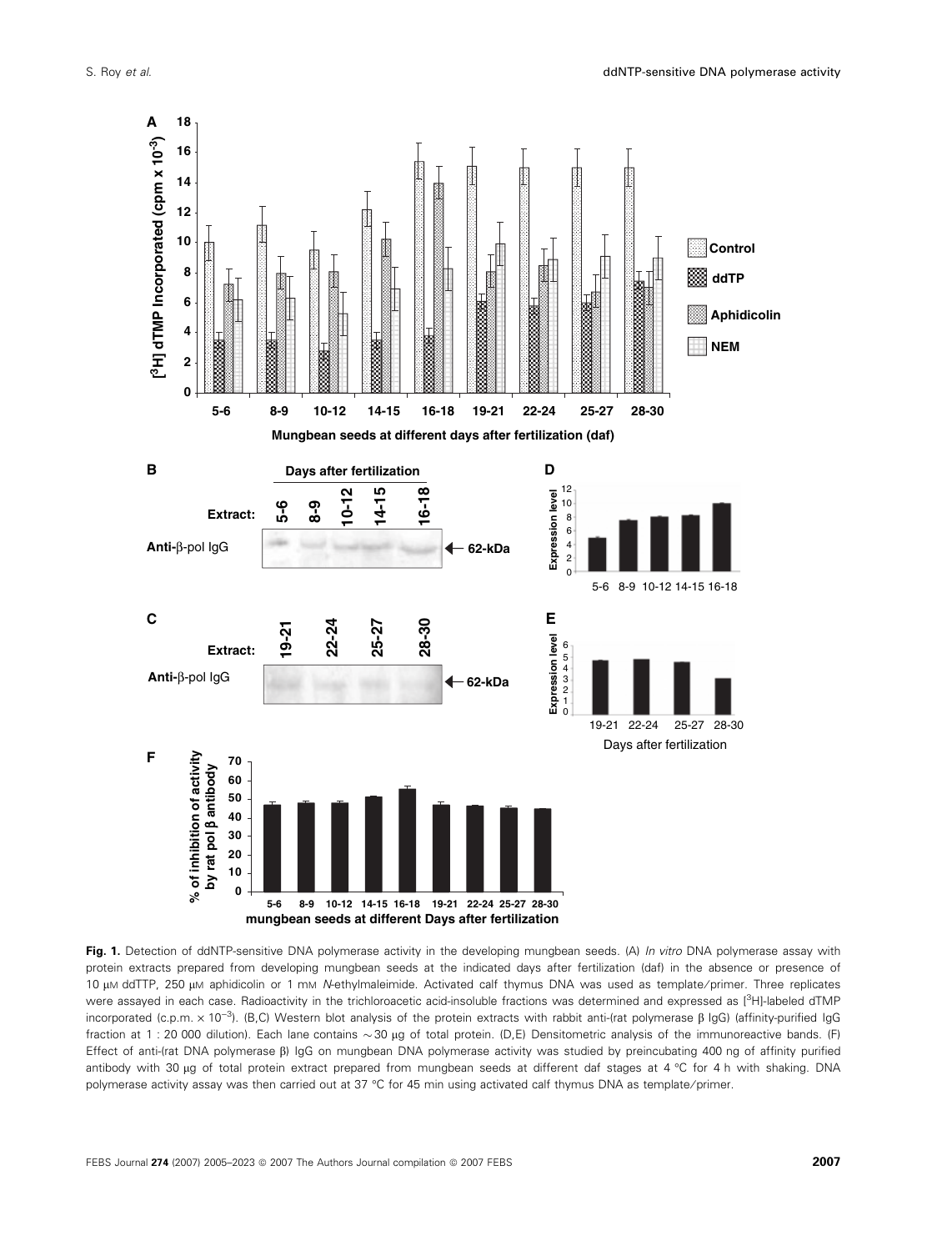

Fig. 1. Detection of ddNTP-sensitive DNA polymerase activity in the developing mungbean seeds. (A) In vitro DNA polymerase assay with protein extracts prepared from developing mungbean seeds at the indicated days after fertilization (daf) in the absence or presence of 10 μM ddTTP, 250 μM aphidicolin or 1 mM N-ethylmaleimide. Activated calf thymus DNA was used as template/primer. Three replicates were assayed in each case. Radioactivity in the trichloroacetic acid-insoluble fractions was determined and expressed as [<sup>3</sup>H]-labeled dTMP incorporated (c.p.m. x 10<sup>-3</sup>). (B,C) Western blot analysis of the protein extracts with rabbit anti-(rat polymerase  $\beta$  IgG) (affinity-purified IgG fraction at 1: 20 000 dilution). Each lane contains  $\sim 30$  µg of total protein. (D,E) Densitometric analysis of the immunoreactive bands. (F) Effect of anti-(rat DNA polymerase  $\beta$ ) IgG on mungbean DNA polymerase activity was studied by preincubating 400 ng of affinity purified antibody with 30 µg of total protein extract prepared from mungbean seeds at different daf stages at 4 °C for 4 h with shaking. DNA polymerase activity assay was then carried out at 37 °C for 45 min using activated calf thymus DNA as template/primer.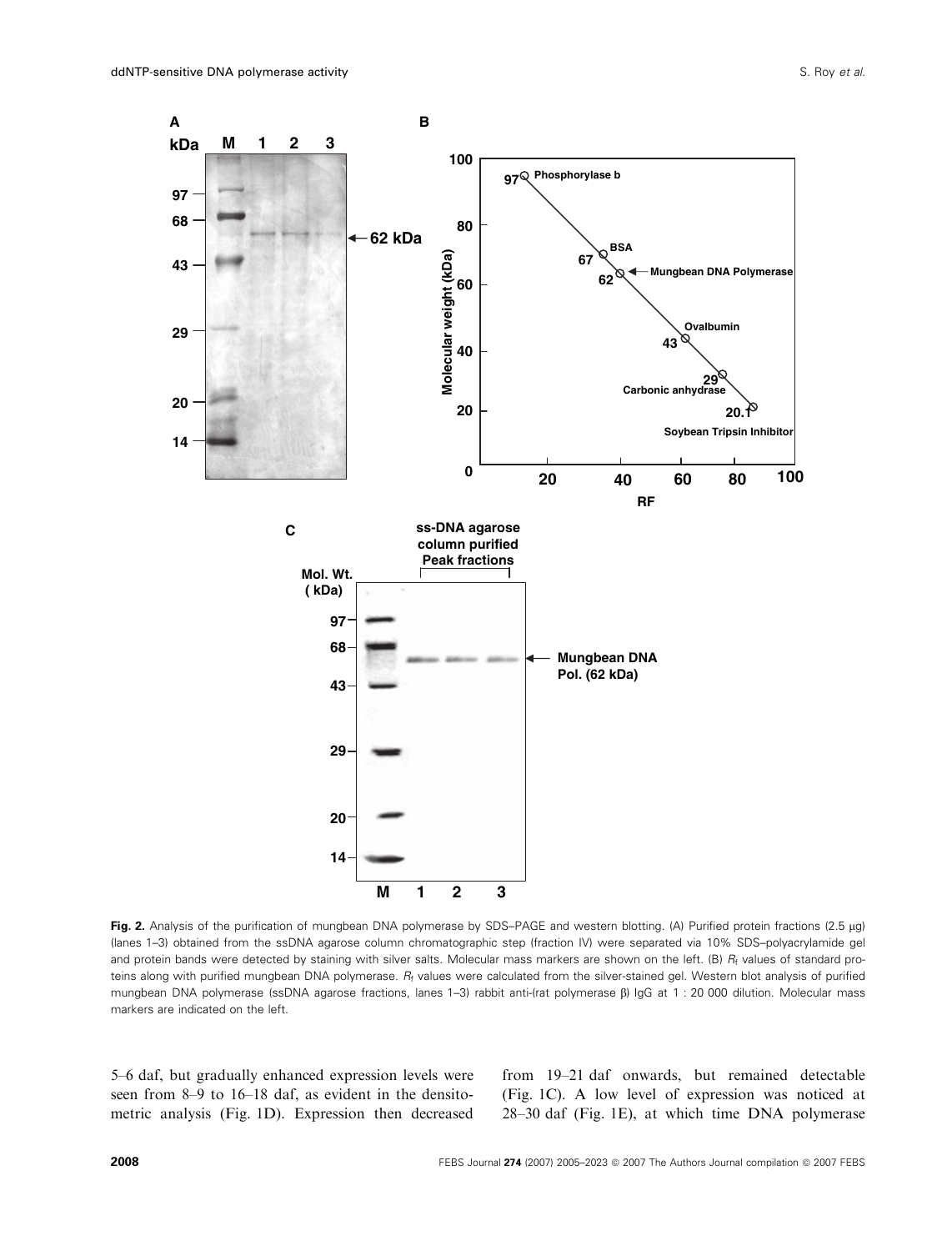

Fig. 2. Analysis of the purification of mungbean DNA polymerase by SDS-PAGE and western blotting. (A) Purified protein fractions (2.5 µg) (lanes 1–3) obtained from the ssDNA agarose column chromatographic step (fraction IV) were separated via 10% SDS–polyacrylamide gel and protein bands were detected by staining with silver salts. Molecular mass markers are shown on the left. (B) R<sub>f</sub> values of standard proteins along with purified mungbean DNA polymerase. R<sub>f</sub> values were calculated from the silver-stained gel. Western blot analysis of purified mungbean DNA polymerase (ssDNA agarose fractions, lanes 1–3) rabbit anti-(rat polymerase b) IgG at 1 : 20 000 dilution. Molecular mass markers are indicated on the left.

5–6 daf, but gradually enhanced expression levels were seen from 8–9 to 16–18 daf, as evident in the densitometric analysis (Fig. 1D). Expression then decreased

from 19–21 daf onwards, but remained detectable (Fig. 1C). A low level of expression was noticed at 28–30 daf (Fig. 1E), at which time DNA polymerase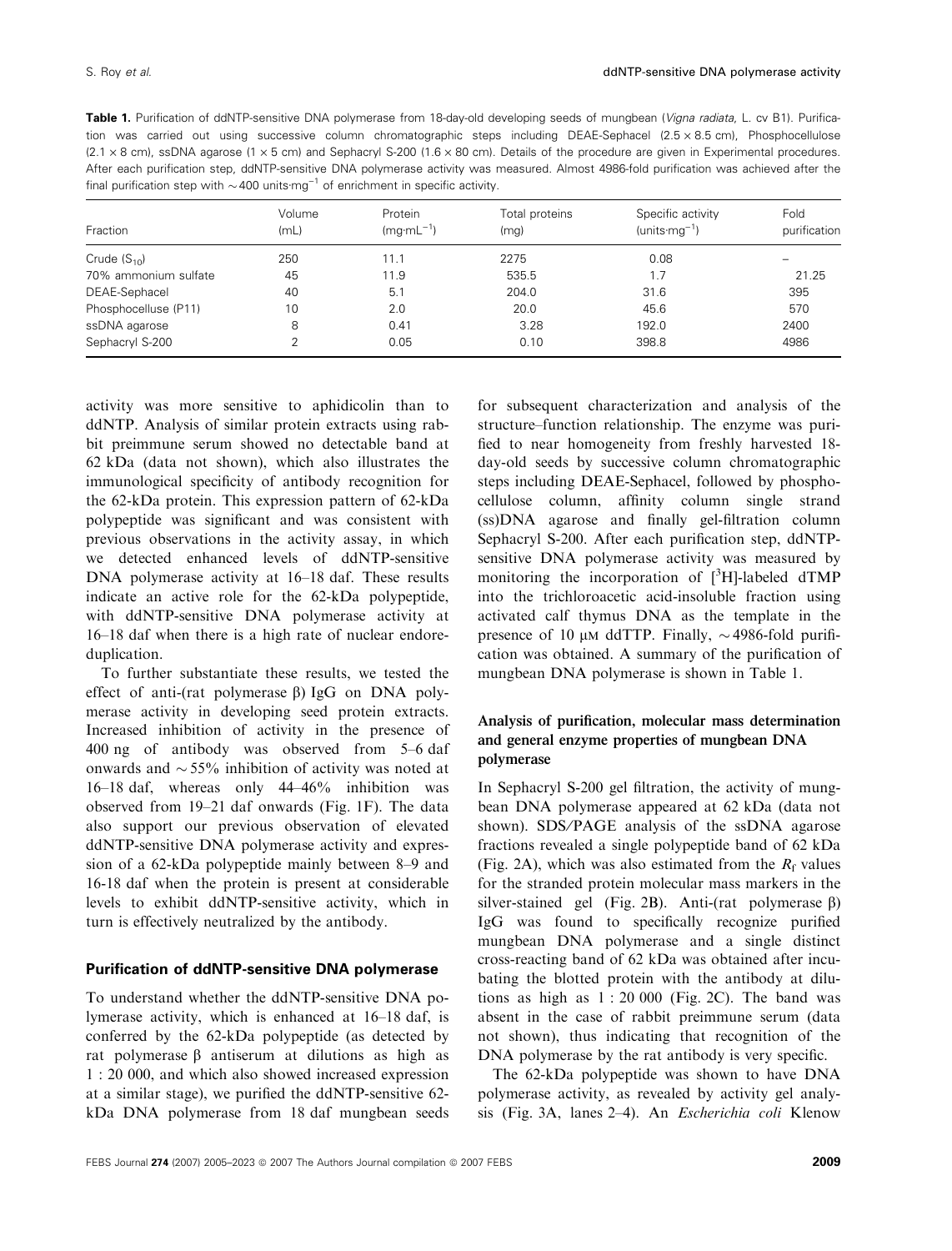|  |  |  |                                                                                                    |  |  | <b>Table 1.</b> Purification of ddNTP-sensitive DNA polymerase from 18-day-old developing seeds of mungbean ( <i>Vigna radiata</i> , L. cv B1). Purifica-     |
|--|--|--|----------------------------------------------------------------------------------------------------|--|--|---------------------------------------------------------------------------------------------------------------------------------------------------------------|
|  |  |  |                                                                                                    |  |  | tion was carried out using successive column chromatographic steps including DEAE-Sephacel $(2.5 \times 8.5 \text{ cm})$ , Phosphocellulose                   |
|  |  |  |                                                                                                    |  |  | $(2.1 \times 8$ cm), ssDNA agarose $(1 \times 5$ cm) and Sephacryl S-200 $(1.6 \times 80$ cm). Details of the procedure are given in Experimental procedures. |
|  |  |  |                                                                                                    |  |  | After each purification step, ddNTP-sensitive DNA polymerase activity was measured. Almost 4986-fold purification was achieved after the                      |
|  |  |  | final purification step with $\sim$ 400 units mg <sup>-1</sup> of enrichment in specific activity. |  |  |                                                                                                                                                               |

| Fraction             | Volume<br>(mL) | Protein<br>$(mq·mL^{-1})$ | Total proteins<br>(mq) | Specific activity<br>$(units·mq^{-1})$ | Fold<br>purification |
|----------------------|----------------|---------------------------|------------------------|----------------------------------------|----------------------|
| Crude $(S_{10})$     | 250            | 11.1                      | 2275                   | 0.08                                   |                      |
| 70% ammonium sulfate | 45             | 11.9                      | 535.5                  | 1.7                                    | 21.25                |
| DEAE-Sephacel        | 40             | 5.1                       | 204.0                  | 31.6                                   | 395                  |
| Phosphocelluse (P11) | 10             | 2.0                       | 20.0                   | 45.6                                   | 570                  |
| ssDNA agarose        | 8              | 0.41                      | 3.28                   | 192.0                                  | 2400                 |
| Sephacryl S-200      | C              | 0.05                      | 0.10                   | 398.8                                  | 4986                 |

activity was more sensitive to aphidicolin than to ddNTP. Analysis of similar protein extracts using rabbit preimmune serum showed no detectable band at 62 kDa (data not shown), which also illustrates the immunological specificity of antibody recognition for the 62-kDa protein. This expression pattern of 62-kDa polypeptide was significant and was consistent with previous observations in the activity assay, in which we detected enhanced levels of ddNTP-sensitive DNA polymerase activity at 16–18 daf. These results indicate an active role for the 62-kDa polypeptide, with ddNTP-sensitive DNA polymerase activity at 16–18 daf when there is a high rate of nuclear endoreduplication.

To further substantiate these results, we tested the effect of anti-(rat polymerase  $\beta$ ) IgG on DNA polymerase activity in developing seed protein extracts. Increased inhibition of activity in the presence of 400 ng of antibody was observed from 5–6 daf onwards and  $\sim$  55% inhibition of activity was noted at 16–18 daf, whereas only 44–46% inhibition was observed from 19–21 daf onwards (Fig. 1F). The data also support our previous observation of elevated ddNTP-sensitive DNA polymerase activity and expression of a 62-kDa polypeptide mainly between 8–9 and 16-18 daf when the protein is present at considerable levels to exhibit ddNTP-sensitive activity, which in turn is effectively neutralized by the antibody.

#### Purification of ddNTP-sensitive DNA polymerase

To understand whether the ddNTP-sensitive DNA polymerase activity, which is enhanced at 16–18 daf, is conferred by the 62-kDa polypeptide (as detected by rat polymerase  $\beta$  antiserum at dilutions as high as 1 : 20 000, and which also showed increased expression at a similar stage), we purified the ddNTP-sensitive 62 kDa DNA polymerase from 18 daf mungbean seeds

for subsequent characterization and analysis of the structure–function relationship. The enzyme was purified to near homogeneity from freshly harvested 18 day-old seeds by successive column chromatographic steps including DEAE-Sephacel, followed by phosphocellulose column, affinity column single strand (ss)DNA agarose and finally gel-filtration column Sephacryl S-200. After each purification step, ddNTPsensitive DNA polymerase activity was measured by monitoring the incorporation of  $[3H]$ -labeled dTMP into the trichloroacetic acid-insoluble fraction using activated calf thymus DNA as the template in the presence of 10  $\mu$ M ddTTP. Finally,  $\sim$  4986-fold purification was obtained. A summary of the purification of mungbean DNA polymerase is shown in Table 1.

### Analysis of purification, molecular mass determination and general enzyme properties of mungbean DNA polymerase

In Sephacryl S-200 gel filtration, the activity of mungbean DNA polymerase appeared at 62 kDa (data not shown). SDS/PAGE analysis of the ssDNA agarose fractions revealed a single polypeptide band of 62 kDa (Fig. 2A), which was also estimated from the  $R_f$  values for the stranded protein molecular mass markers in the silver-stained gel (Fig. 2B). Anti-(rat polymerase  $\beta$ ) IgG was found to specifically recognize purified mungbean DNA polymerase and a single distinct cross-reacting band of 62 kDa was obtained after incubating the blotted protein with the antibody at dilutions as high as  $1:20000$  (Fig. 2C). The band was absent in the case of rabbit preimmune serum (data not shown), thus indicating that recognition of the DNA polymerase by the rat antibody is very specific.

The 62-kDa polypeptide was shown to have DNA polymerase activity, as revealed by activity gel analysis (Fig. 3A, lanes 2–4). An Escherichia coli Klenow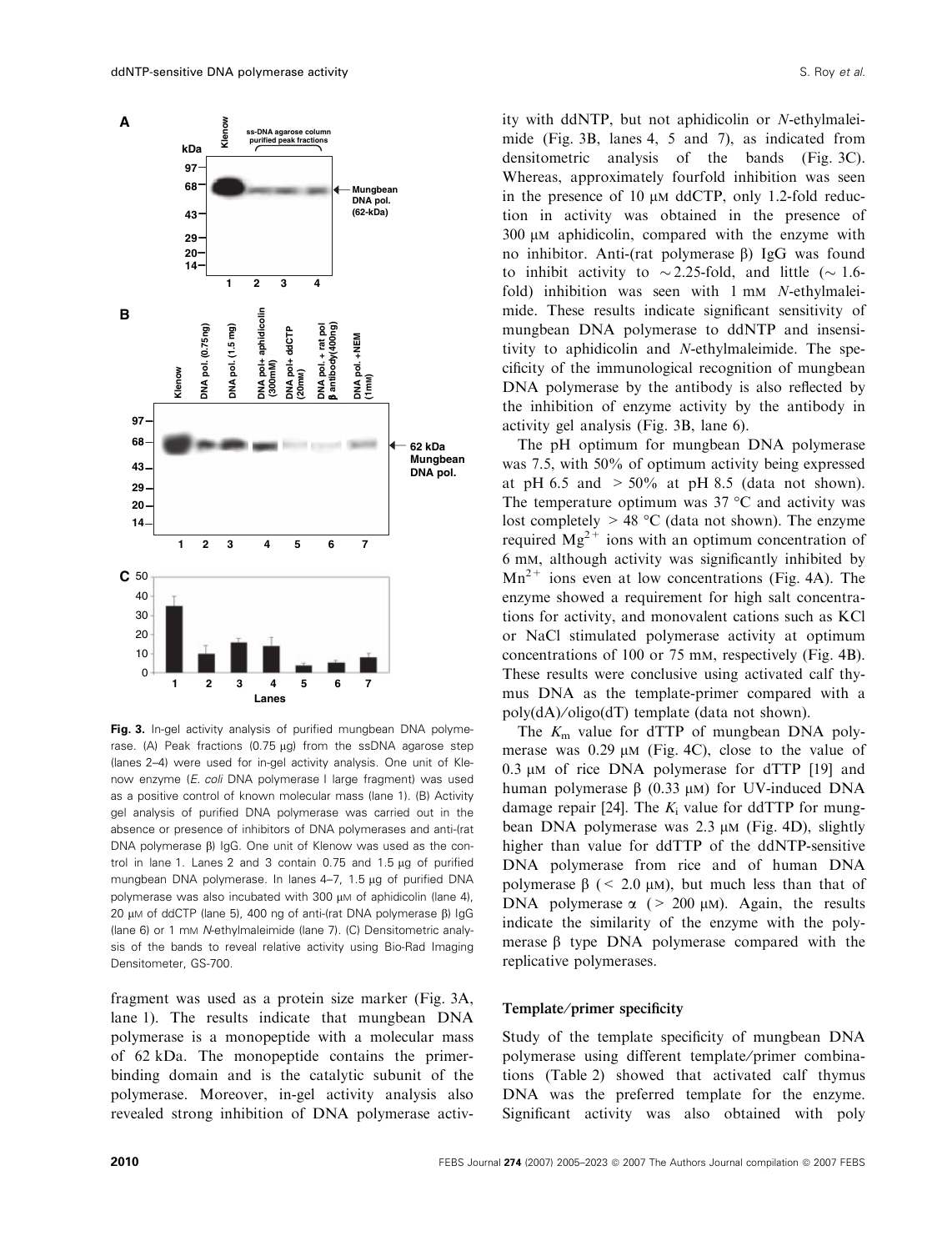

Fig. 3. In-gel activity analysis of purified mungbean DNA polymerase. (A) Peak fractions (0.75  $\mu$ g) from the ssDNA agarose step (lanes 2–4) were used for in-gel activity analysis. One unit of Klenow enzyme (E. coli DNA polymerase I large fragment) was used as a positive control of known molecular mass (lane 1). (B) Activity gel analysis of purified DNA polymerase was carried out in the absence or presence of inhibitors of DNA polymerases and anti-(rat DNA polymerase  $\beta$ ) IgG. One unit of Klenow was used as the control in lane 1. Lanes 2 and 3 contain  $0.75$  and  $1.5 \mu g$  of purified mungbean DNA polymerase. In lanes 4-7, 1.5 µg of purified DNA polymerase was also incubated with 300  $\mu$ M of aphidicolin (lane 4), 20  $\mu$ M of ddCTP (lane 5), 400 ng of anti-(rat DNA polymerase  $\beta$ ) IgG (lane 6) or 1 mm N-ethylmaleimide (lane 7). (C) Densitometric analysis of the bands to reveal relative activity using Bio-Rad Imaging Densitometer, GS-700.

fragment was used as a protein size marker (Fig. 3A, lane 1). The results indicate that mungbean DNA polymerase is a monopeptide with a molecular mass of 62 kDa. The monopeptide contains the primerbinding domain and is the catalytic subunit of the polymerase. Moreover, in-gel activity analysis also revealed strong inhibition of DNA polymerase activ-

ity with ddNTP, but not aphidicolin or N-ethylmaleimide (Fig. 3B, lanes 4, 5 and 7), as indicated from densitometric analysis of the bands (Fig. 3C). Whereas, approximately fourfold inhibition was seen in the presence of 10  $\mu$ m ddCTP, only 1.2-fold reduction in activity was obtained in the presence of  $300 \mu$ M aphidicolin, compared with the enzyme with no inhibitor. Anti-(rat polymerase  $\beta$ ) IgG was found to inhibit activity to  $\sim$  2.25-fold, and little ( $\sim$  1.6fold) inhibition was seen with 1 mm N-ethylmaleimide. These results indicate significant sensitivity of mungbean DNA polymerase to ddNTP and insensitivity to aphidicolin and N-ethylmaleimide. The specificity of the immunological recognition of mungbean DNA polymerase by the antibody is also reflected by the inhibition of enzyme activity by the antibody in activity gel analysis (Fig. 3B, lane 6).

The pH optimum for mungbean DNA polymerase was 7.5, with 50% of optimum activity being expressed at pH 6.5 and  $> 50\%$  at pH 8.5 (data not shown). The temperature optimum was  $37 °C$  and activity was lost completely  $> 48$  °C (data not shown). The enzyme required  $Mg^{2+}$  ions with an optimum concentration of 6 mm, although activity was significantly inhibited by  $Mn^{2+}$  ions even at low concentrations (Fig. 4A). The enzyme showed a requirement for high salt concentrations for activity, and monovalent cations such as KCl or NaCl stimulated polymerase activity at optimum concentrations of 100 or 75 mm, respectively (Fig. 4B). These results were conclusive using activated calf thymus DNA as the template-primer compared with a poly(dA)⁄ oligo(dT) template (data not shown).

The  $K<sub>m</sub>$  value for dTTP of mungbean DNA polymerase was  $0.29 \mu M$  (Fig. 4C), close to the value of  $0.3 \mu$ M of rice DNA polymerase for dTTP [19] and human polymerase  $\beta$  (0.33  $\mu$ M) for UV-induced DNA damage repair [24]. The  $K_i$  value for ddTTP for mungbean DNA polymerase was  $2.3 \mu M$  (Fig. 4D), slightly higher than value for ddTTP of the ddNTP-sensitive DNA polymerase from rice and of human DNA polymerase  $\beta$  (< 2.0  $\mu$ m), but much less than that of DNA polymerase  $\alpha$  (> 200  $\mu$ M). Again, the results indicate the similarity of the enzyme with the polymerase  $\beta$  type DNA polymerase compared with the replicative polymerases.

#### Template/primer specificity

Study of the template specificity of mungbean DNA polymerase using different template/primer combinations (Table 2) showed that activated calf thymus DNA was the preferred template for the enzyme. Significant activity was also obtained with poly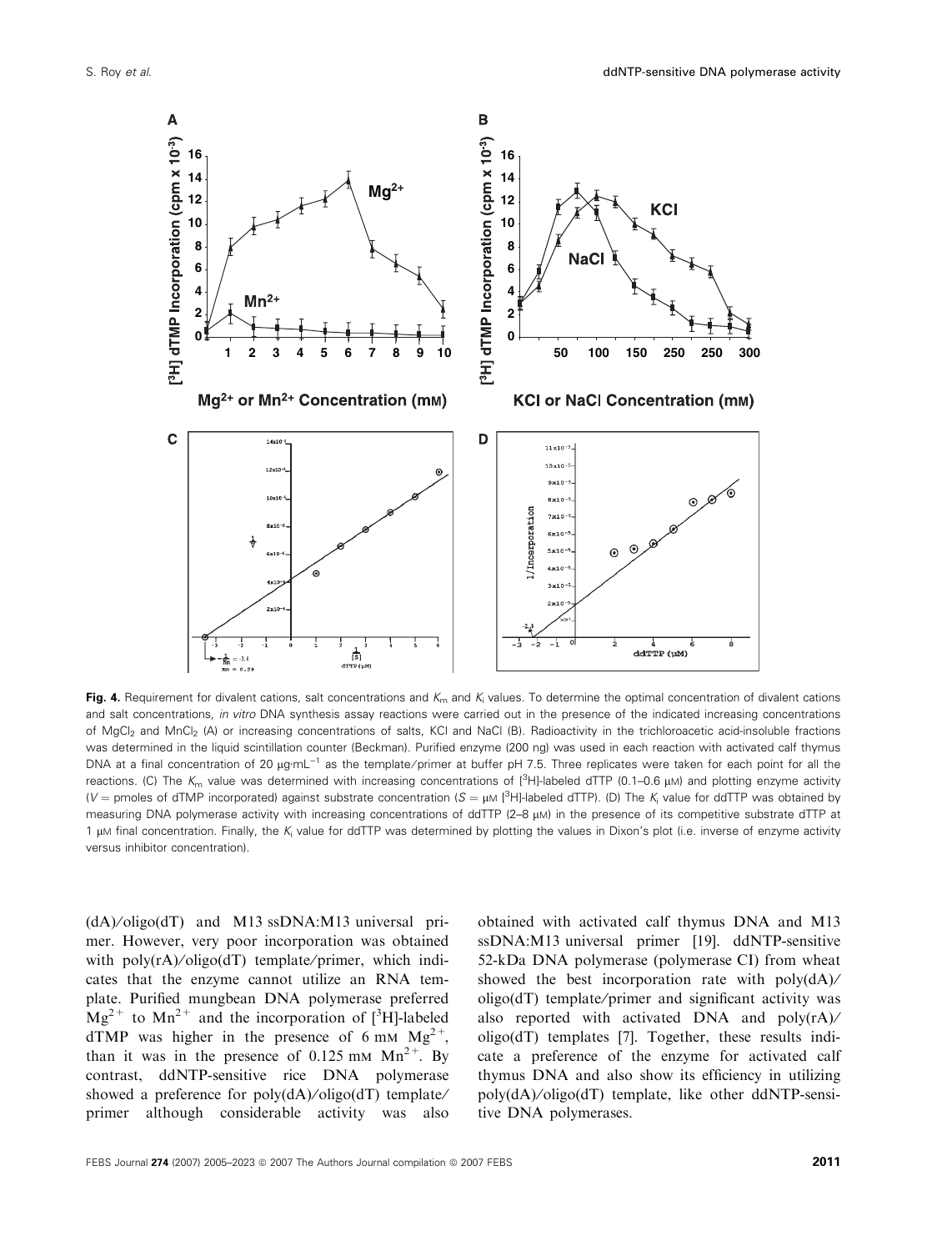

Fig. 4. Requirement for divalent cations, salt concentrations and  $K_m$  and  $K_i$  values. To determine the optimal concentration of divalent cations and salt concentrations, in vitro DNA synthesis assay reactions were carried out in the presence of the indicated increasing concentrations of MgCl<sub>2</sub> and MnCl<sub>2</sub> (A) or increasing concentrations of salts, KCl and NaCl (B). Radioactivity in the trichloroacetic acid-insoluble fractions was determined in the liquid scintillation counter (Beckman). Purified enzyme (200 ng) was used in each reaction with activated calf thymus DNA at a final concentration of 20 μg·mL<sup>-1</sup> as the template/primer at buffer pH 7.5. Three replicates were taken for each point for all the reactions. (C) The  $K_m$  value was determined with increasing concentrations of  $\binom{3}{1}$ -labeled dTTP (0.1–0.6  $\mu$ M) and plotting enzyme activity (V = pmoles of dTMP incorporated) against substrate concentration (S =  $\mu$ M [<sup>3</sup>H]-labeled dTTP). (D) The K<sub>i</sub> value for ddTTP was obtained by measuring DNA polymerase activity with increasing concentrations of ddTTP (2–8 µM) in the presence of its competitive substrate dTTP at 1  $\mu$ M final concentration. Finally, the K<sub>i</sub> value for ddTTP was determined by plotting the values in Dixon's plot (i.e. inverse of enzyme activity versus inhibitor concentration).

(dA)⁄ oligo(dT) and M13 ssDNA:M13 universal primer. However, very poor incorporation was obtained with poly(rA)/oligo(dT) template/primer, which indicates that the enzyme cannot utilize an RNA template. Purified mungbean DNA polymerase preferred  $Mg^{2+}$  to  $Mn^{2+}$  and the incorporation of [<sup>3</sup>H]-labeled dTMP was higher in the presence of 6 mm  $Mg^{2+}$ , than it was in the presence of  $0.125$  mm  $Mn^{2+}$ . By contrast, ddNTP-sensitive rice DNA polymerase showed a preference for  $poly(dA)/oligo(dT)$  template/ primer although considerable activity was also

obtained with activated calf thymus DNA and M13 ssDNA:M13 universal primer [19]. ddNTP-sensitive 52-kDa DNA polymerase (polymerase CI) from wheat showed the best incorporation rate with poly(dA)/  $oligo(dT)$  template/primer and significant activity was also reported with activated DNA and poly(rA)⁄ oligo(dT) templates [7]. Together, these results indicate a preference of the enzyme for activated calf thymus DNA and also show its efficiency in utilizing poly(dA)⁄ oligo(dT) template, like other ddNTP-sensitive DNA polymerases.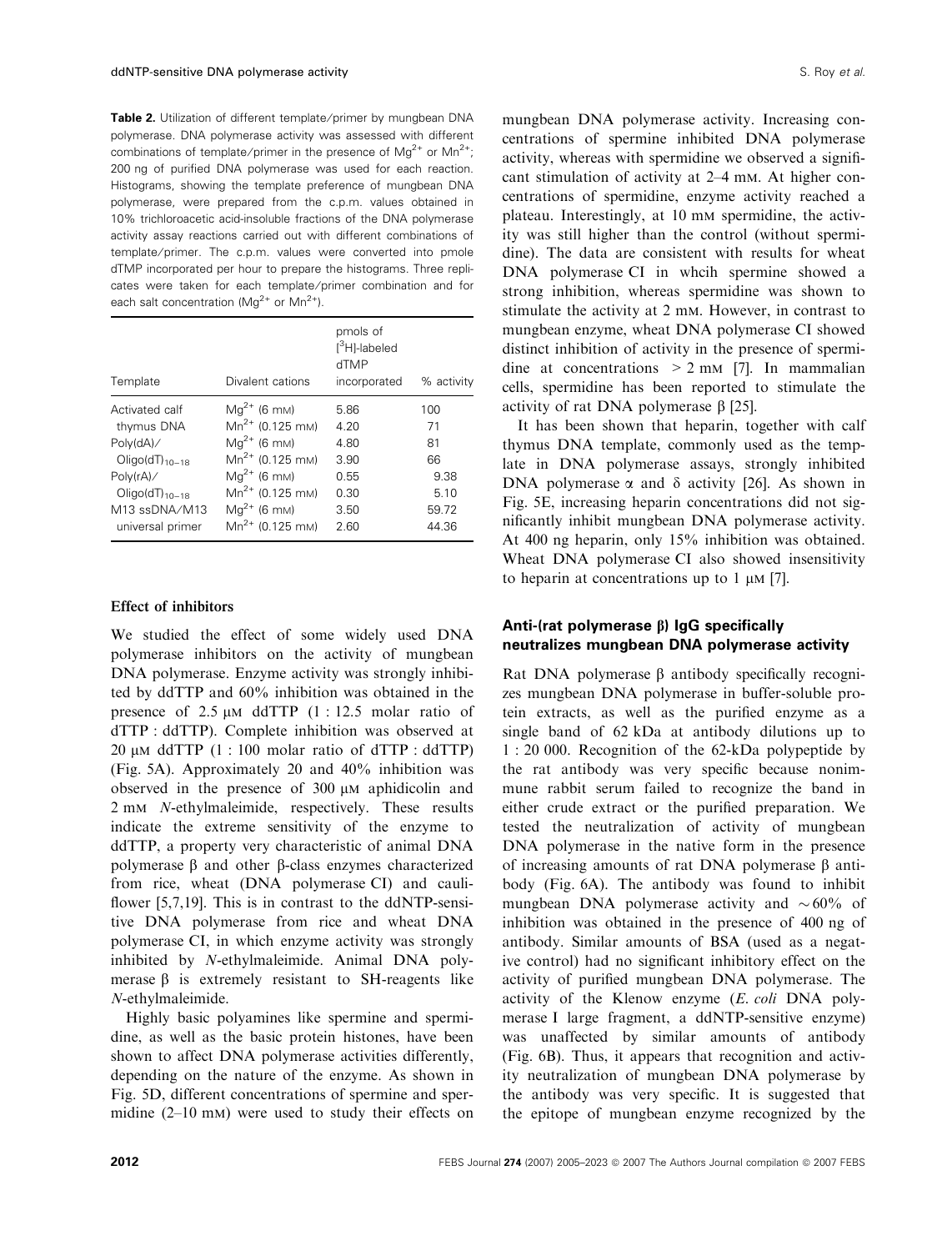Table 2. Utilization of different template/primer by mungbean DNA polymerase. DNA polymerase activity was assessed with different combinations of template/primer in the presence of  $Mq^{2+}$  or  $Mn^{2+}$ ; 200 ng of purified DNA polymerase was used for each reaction. Histograms, showing the template preference of mungbean DNA polymerase, were prepared from the c.p.m. values obtained in 10% trichloroacetic acid-insoluble fractions of the DNA polymerase activity assay reactions carried out with different combinations of template/primer. The c.p.m. values were converted into pmole dTMP incorporated per hour to prepare the histograms. Three replicates were taken for each template/primer combination and for each salt concentration ( $Mg^{2+}$  or  $Mn^{2+}$ ).

| Template                              | Divalent cations     | pmols of<br><sup>13</sup> H1-labeled<br>dTMP<br>incorporated | % activity |
|---------------------------------------|----------------------|--------------------------------------------------------------|------------|
| Activated calf                        | $Mg^{2+}$ (6 mm)     | 5.86                                                         | 100        |
| thymus DNA                            | $Mn^{2+}$ (0.125 mm) | 4.20                                                         | 71         |
| Poly(dA)/                             | $Mg^{2+}$ (6 mm)     | 4.80                                                         | 81         |
| $Oligo(dT)10-18$                      | $Mn^{2+}$ (0.125 mm) | 3.90                                                         | 66         |
| Poly(rA)/                             | $Mg^{2+}$ (6 mm)     | 0.55                                                         | 9.38       |
| Oligo( $dT$ <sub>10-18</sub>          | $Mn^{2+}$ (0.125 mm) | 0.30                                                         | 5.10       |
| M <sub>13</sub> ssDNA/M <sub>13</sub> | $Mg^{2+}$ (6 mm)     | 3.50                                                         | 59.72      |
| universal primer                      | $Mn^{2+}$ (0.125 mM) | 2.60                                                         | 44.36      |

#### Effect of inhibitors

We studied the effect of some widely used DNA polymerase inhibitors on the activity of mungbean DNA polymerase. Enzyme activity was strongly inhibited by ddTTP and 60% inhibition was obtained in the presence of  $2.5 \mu M$  ddTTP (1 : 12.5 molar ratio of dTTP : ddTTP). Complete inhibition was observed at  $20 \mu M$  ddTTP  $(1 : 100 \text{ molar ratio of dTTP} : d d TTP)$ (Fig. 5A). Approximately 20 and 40% inhibition was observed in the presence of  $300 \mu$ M aphidicolin and 2 mm N-ethylmaleimide, respectively. These results indicate the extreme sensitivity of the enzyme to ddTTP, a property very characteristic of animal DNA polymerase  $\beta$  and other  $\beta$ -class enzymes characterized from rice, wheat (DNA polymerase CI) and cauliflower [5,7,19]. This is in contrast to the ddNTP-sensitive DNA polymerase from rice and wheat DNA polymerase CI, in which enzyme activity was strongly inhibited by N-ethylmaleimide. Animal DNA polymerase  $\beta$  is extremely resistant to SH-reagents like N-ethylmaleimide.

Highly basic polyamines like spermine and spermidine, as well as the basic protein histones, have been shown to affect DNA polymerase activities differently, depending on the nature of the enzyme. As shown in Fig. 5D, different concentrations of spermine and spermidine (2–10 mm) were used to study their effects on mungbean DNA polymerase activity. Increasing concentrations of spermine inhibited DNA polymerase activity, whereas with spermidine we observed a significant stimulation of activity at 2–4 mm. At higher concentrations of spermidine, enzyme activity reached a plateau. Interestingly, at 10 mm spermidine, the activity was still higher than the control (without spermidine). The data are consistent with results for wheat DNA polymerase CI in whcih spermine showed a strong inhibition, whereas spermidine was shown to stimulate the activity at 2 mm. However, in contrast to mungbean enzyme, wheat DNA polymerase CI showed distinct inhibition of activity in the presence of spermidine at concentrations  $> 2$  mm [7]. In mammalian cells, spermidine has been reported to stimulate the activity of rat DNA polymerase  $\beta$  [25].

It has been shown that heparin, together with calf thymus DNA template, commonly used as the template in DNA polymerase assays, strongly inhibited DNA polymerase  $\alpha$  and  $\delta$  activity [26]. As shown in Fig. 5E, increasing heparin concentrations did not significantly inhibit mungbean DNA polymerase activity. At 400 ng heparin, only 15% inhibition was obtained. Wheat DNA polymerase CI also showed insensitivity to heparin at concentrations up to 1  $\mu$ m [7].

#### Anti-(rat polymerase  $\beta$ ) IgG specifically neutralizes mungbean DNA polymerase activity

Rat DNA polymerase  $\beta$  antibody specifically recognizes mungbean DNA polymerase in buffer-soluble protein extracts, as well as the purified enzyme as a single band of 62 kDa at antibody dilutions up to 1 : 20 000. Recognition of the 62-kDa polypeptide by the rat antibody was very specific because nonimmune rabbit serum failed to recognize the band in either crude extract or the purified preparation. We tested the neutralization of activity of mungbean DNA polymerase in the native form in the presence of increasing amounts of rat DNA polymerase  $\beta$  antibody (Fig. 6A). The antibody was found to inhibit mungbean DNA polymerase activity and  $\sim 60\%$  of inhibition was obtained in the presence of 400 ng of antibody. Similar amounts of BSA (used as a negative control) had no significant inhibitory effect on the activity of purified mungbean DNA polymerase. The activity of the Klenow enzyme (E. coli DNA polymerase I large fragment, a ddNTP-sensitive enzyme) was unaffected by similar amounts of antibody (Fig. 6B). Thus, it appears that recognition and activity neutralization of mungbean DNA polymerase by the antibody was very specific. It is suggested that the epitope of mungbean enzyme recognized by the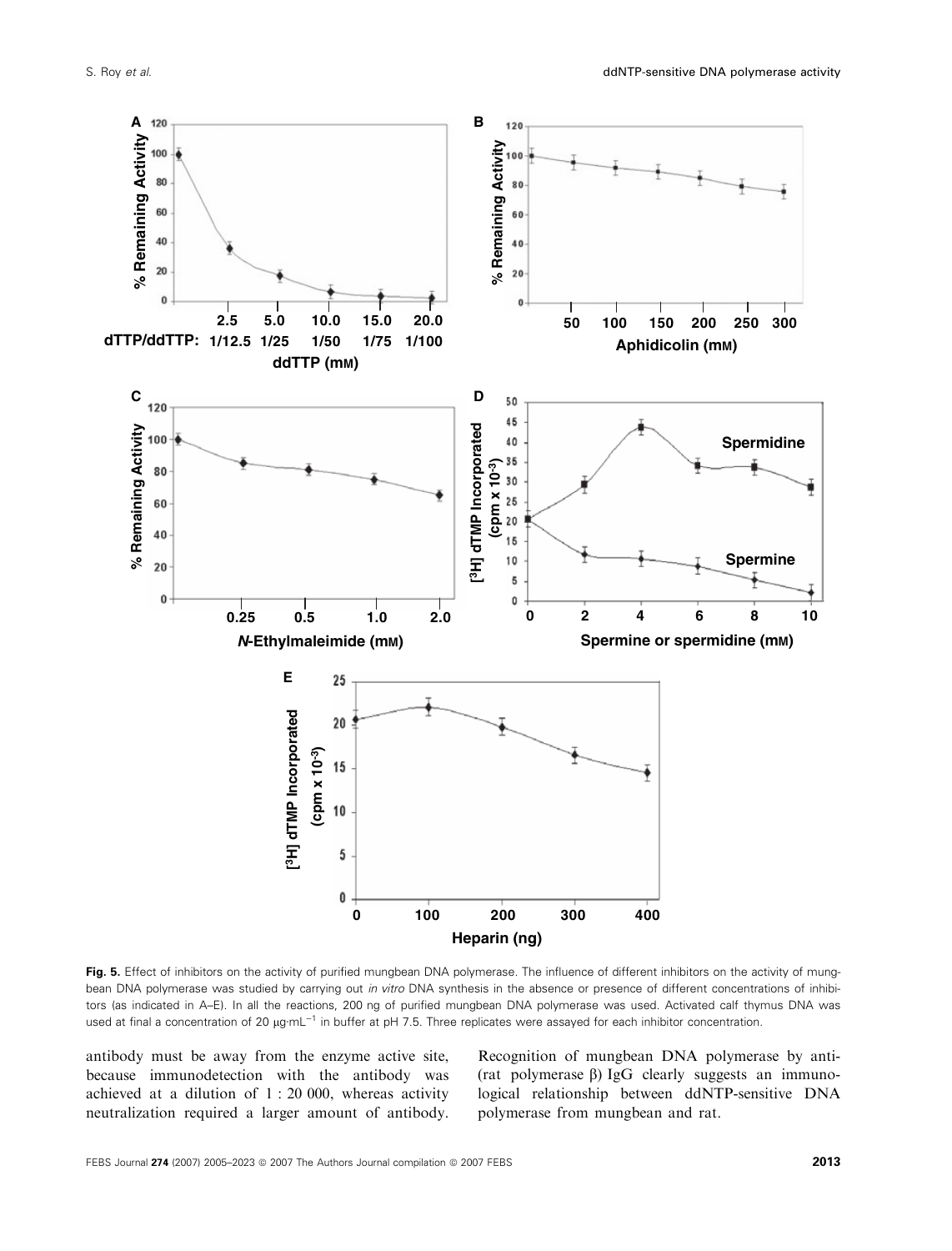

Fig. 5. Effect of inhibitors on the activity of purified mungbean DNA polymerase. The influence of different inhibitors on the activity of mungbean DNA polymerase was studied by carrying out in vitro DNA synthesis in the absence or presence of different concentrations of inhibitors (as indicated in A–E). In all the reactions, 200 ng of purified mungbean DNA polymerase was used. Activated calf thymus DNA was used at final a concentration of 20 µg·mL<sup>-1</sup> in buffer at pH 7.5. Three replicates were assayed for each inhibitor concentration.

antibody must be away from the enzyme active site, because immunodetection with the antibody was achieved at a dilution of 1 : 20 000, whereas activity neutralization required a larger amount of antibody.

Recognition of mungbean DNA polymerase by anti- (rat polymerase  $\beta$ ) IgG clearly suggests an immunological relationship between ddNTP-sensitive DNA polymerase from mungbean and rat.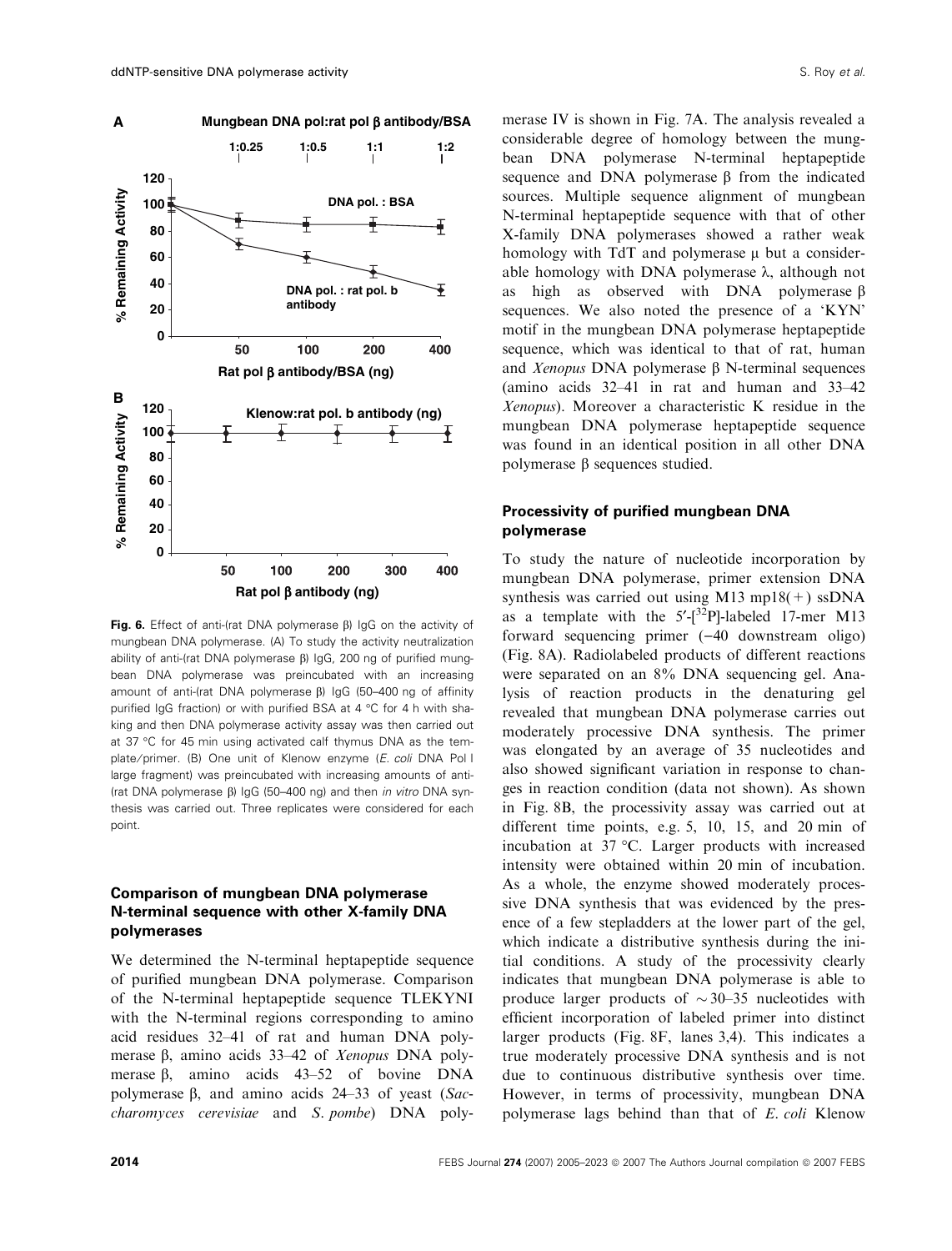

Fig. 6. Effect of anti-(rat DNA polymerase  $\beta$ ) IgG on the activity of mungbean DNA polymerase. (A) To study the activity neutralization ability of anti-(rat DNA polymerase  $\beta$ ) IgG, 200 ng of purified mungbean DNA polymerase was preincubated with an increasing amount of anti-(rat DNA polymerase  $\beta$ ) IgG (50-400 ng of affinity purified IgG fraction) or with purified BSA at 4 °C for 4 h with shaking and then DNA polymerase activity assay was then carried out at 37 °C for 45 min using activated calf thymus DNA as the template/primer. (B) One unit of Klenow enzyme (E. coli DNA Pol I large fragment) was preincubated with increasing amounts of anti- (rat DNA polymerase  $\beta$ ) IgG (50-400 ng) and then in vitro DNA synthesis was carried out. Three replicates were considered for each point.

# Comparison of mungbean DNA polymerase N-terminal sequence with other X-family DNA polymerases

We determined the N-terminal heptapeptide sequence of purified mungbean DNA polymerase. Comparison of the N-terminal heptapeptide sequence TLEKYNI with the N-terminal regions corresponding to amino acid residues 32–41 of rat and human DNA polymerase  $\beta$ , amino acids 33–42 of *Xenopus* DNA polymerase  $\beta$ , amino acids 43–52 of bovine DNA polymerase  $\beta$ , and amino acids 24–33 of yeast (Saccharomyces cerevisiae and S. pombe) DNA polymerase IV is shown in Fig. 7A. The analysis revealed a considerable degree of homology between the mungbean DNA polymerase N-terminal heptapeptide sequence and DNA polymerase  $\beta$  from the indicated sources. Multiple sequence alignment of mungbean N-terminal heptapeptide sequence with that of other X-family DNA polymerases showed a rather weak homology with  $TdT$  and polymerase  $\mu$  but a considerable homology with DNA polymerase  $\lambda$ , although not as high as observed with DNA polymerase  $\beta$ sequences. We also noted the presence of a 'KYN' motif in the mungbean DNA polymerase heptapeptide sequence, which was identical to that of rat, human and *Xenopus* DNA polymerase  $\beta$  N-terminal sequences (amino acids 32–41 in rat and human and 33–42 Xenopus). Moreover a characteristic K residue in the mungbean DNA polymerase heptapeptide sequence was found in an identical position in all other DNA polymerase  $\beta$  sequences studied.

### Processivity of purified mungbean DNA polymerase

To study the nature of nucleotide incorporation by mungbean DNA polymerase, primer extension DNA synthesis was carried out using M13 mp18 $(+)$  ssDNA as a template with the  $5'-[3^2P]$ -labeled 17-mer M13 forward sequencing primer  $(-40 \text{ downstream } \text{oligo})$ (Fig. 8A). Radiolabeled products of different reactions were separated on an 8% DNA sequencing gel. Analysis of reaction products in the denaturing gel revealed that mungbean DNA polymerase carries out moderately processive DNA synthesis. The primer was elongated by an average of 35 nucleotides and also showed significant variation in response to changes in reaction condition (data not shown). As shown in Fig. 8B, the processivity assay was carried out at different time points, e.g. 5, 10, 15, and 20 min of incubation at 37 °C. Larger products with increased intensity were obtained within 20 min of incubation. As a whole, the enzyme showed moderately processive DNA synthesis that was evidenced by the presence of a few stepladders at the lower part of the gel, which indicate a distributive synthesis during the initial conditions. A study of the processivity clearly indicates that mungbean DNA polymerase is able to produce larger products of  $\sim$  30–35 nucleotides with efficient incorporation of labeled primer into distinct larger products (Fig. 8F, lanes 3,4). This indicates a true moderately processive DNA synthesis and is not due to continuous distributive synthesis over time. However, in terms of processivity, mungbean DNA polymerase lags behind than that of E. coli Klenow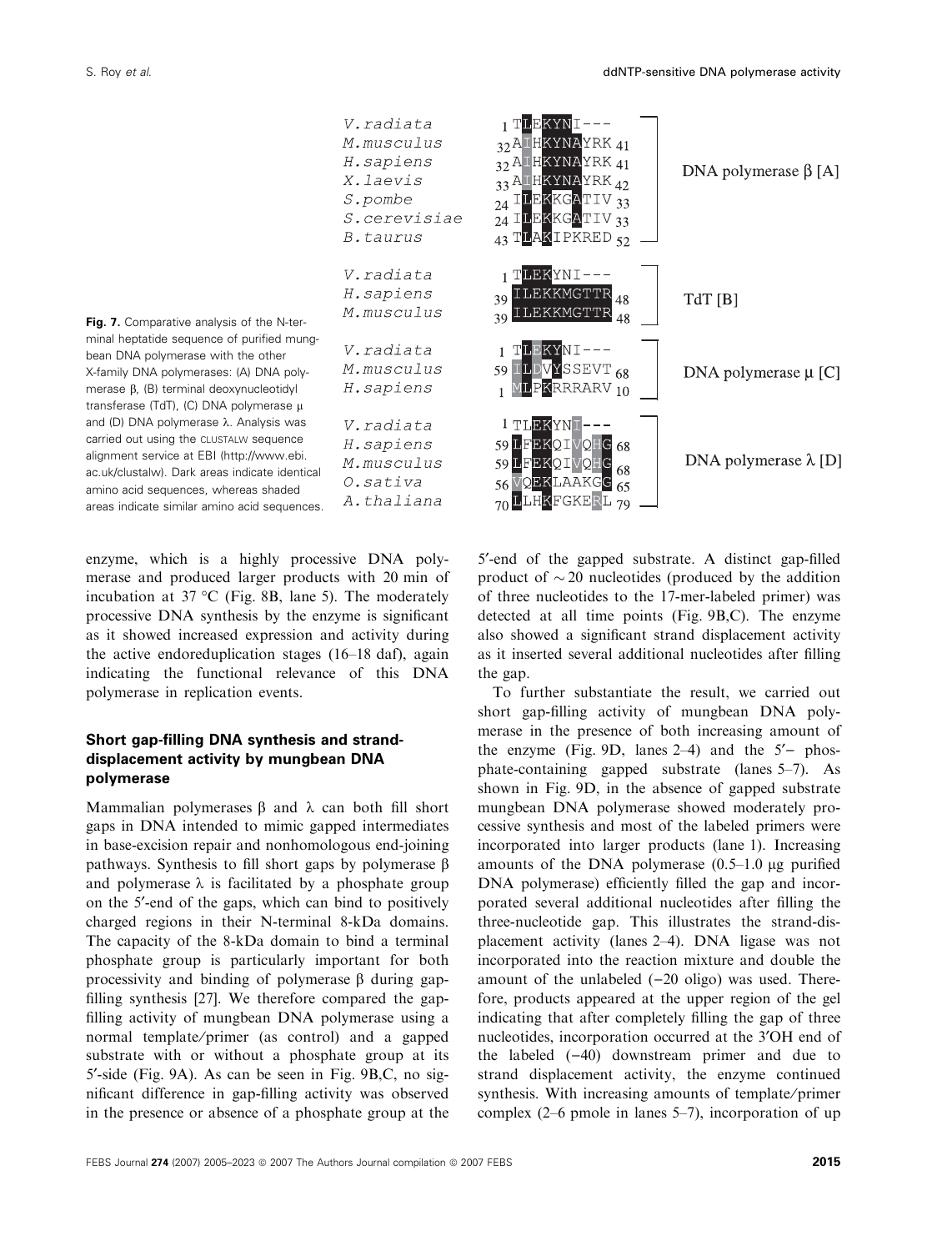

Fig. 7. Comparative analysis of the N-terminal heptatide sequence of purified mungbean DNA polymerase with the other X-family DNA polymerases: (A) DNA polymerase  $\beta$ , (B) terminal deoxynucleotidvl transferase (TdT), (C) DNA polymerase  $\mu$ and (D) DNA polymerase  $\lambda$ . Analysis was carried out using the CLUSTALW sequence alignment service at EBI (http://www.ebi. ac.uk/clustalw). Dark areas indicate identical amino acid sequences, whereas shaded areas indicate similar amino acid sequences.

enzyme, which is a highly processive DNA polymerase and produced larger products with 20 min of incubation at  $37 \text{ °C}$  (Fig. 8B, lane 5). The moderately processive DNA synthesis by the enzyme is significant as it showed increased expression and activity during the active endoreduplication stages (16–18 daf), again indicating the functional relevance of this DNA polymerase in replication events.

# Short gap-filling DNA synthesis and stranddisplacement activity by mungbean DNA polymerase

Mammalian polymerases  $\beta$  and  $\lambda$  can both fill short gaps in DNA intended to mimic gapped intermediates in base-excision repair and nonhomologous end-joining pathways. Synthesis to fill short gaps by polymerase  $\beta$ and polymerase  $\lambda$  is facilitated by a phosphate group on the 5¢-end of the gaps, which can bind to positively charged regions in their N-terminal 8-kDa domains. The capacity of the 8-kDa domain to bind a terminal phosphate group is particularly important for both processivity and binding of polymerase  $\beta$  during gapfilling synthesis [27]. We therefore compared the gapfilling activity of mungbean DNA polymerase using a normal template/primer (as control) and a gapped substrate with or without a phosphate group at its 5¢-side (Fig. 9A). As can be seen in Fig. 9B,C, no significant difference in gap-filling activity was observed in the presence or absence of a phosphate group at the

5'-end of the gapped substrate. A distinct gap-filled product of  $\sim$  20 nucleotides (produced by the addition of three nucleotides to the 17-mer-labeled primer) was detected at all time points (Fig. 9B,C). The enzyme also showed a significant strand displacement activity as it inserted several additional nucleotides after filling the gap.

To further substantiate the result, we carried out short gap-filling activity of mungbean DNA polymerase in the presence of both increasing amount of the enzyme (Fig. 9D, lanes  $2-4$ ) and the  $5'$ - phosphate-containing gapped substrate (lanes 5–7). As shown in Fig. 9D, in the absence of gapped substrate mungbean DNA polymerase showed moderately processive synthesis and most of the labeled primers were incorporated into larger products (lane 1). Increasing amounts of the DNA polymerase  $(0.5-1.0 \mu g$  purified DNA polymerase) efficiently filled the gap and incorporated several additional nucleotides after filling the three-nucleotide gap. This illustrates the strand-displacement activity (lanes 2–4). DNA ligase was not incorporated into the reaction mixture and double the amount of the unlabeled  $(-20 \text{ oligo})$  was used. Therefore, products appeared at the upper region of the gel indicating that after completely filling the gap of three nucleotides, incorporation occurred at the 3<sup>'</sup>OH end of the labeled  $(-40)$  downstream primer and due to strand displacement activity, the enzyme continued synthesis. With increasing amounts of template/primer complex (2–6 pmole in lanes 5–7), incorporation of up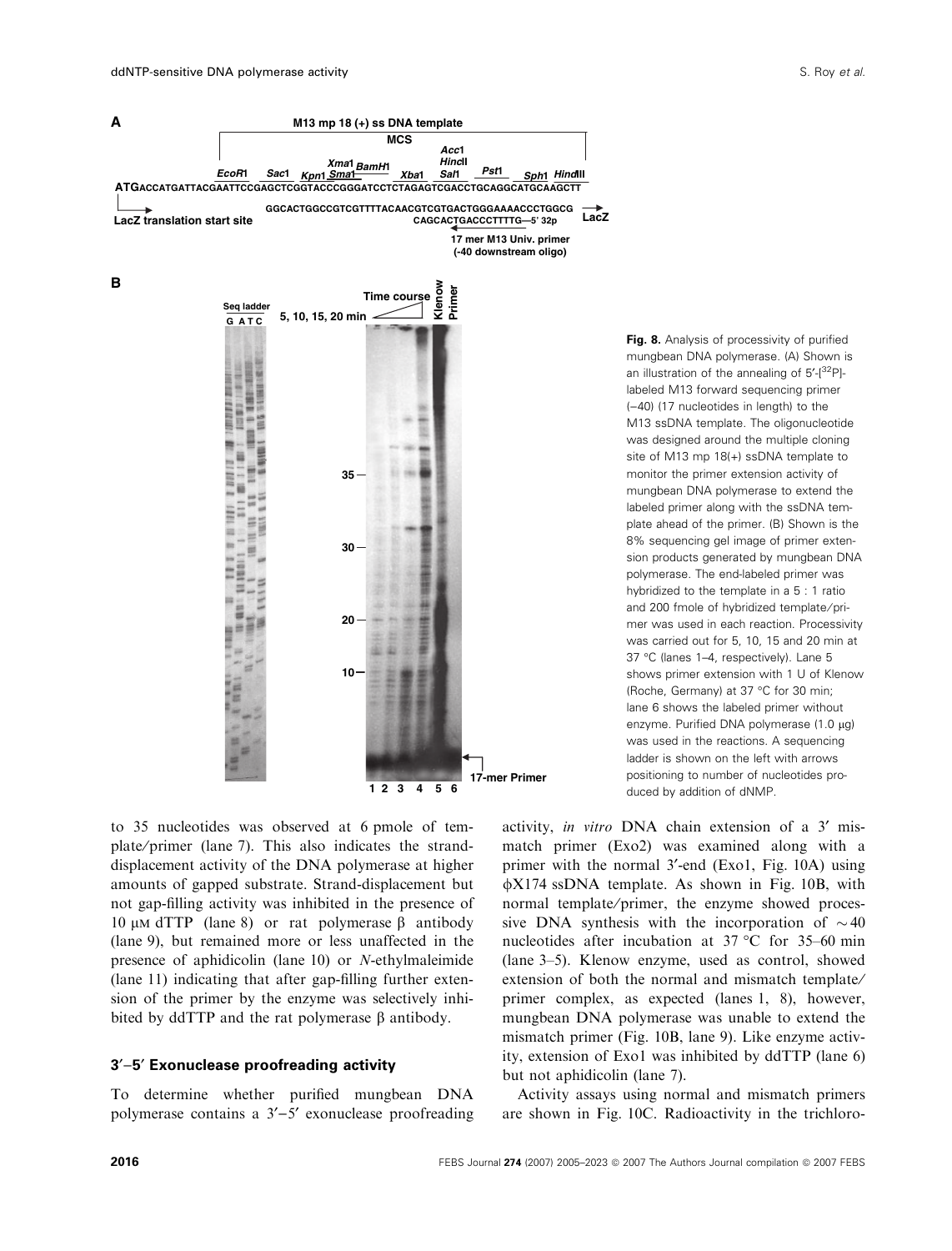



Fig. 8. Analysis of processivity of purified mungbean DNA polymerase. (A) Shown is an illustration of the annealing of 5'-[32P]labeled M13 forward sequencing primer  $(-40)$  (17 nucleotides in length) to the M13 ssDNA template. The oligonucleotide was designed around the multiple cloning site of M13 mp 18(+) ssDNA template to monitor the primer extension activity of mungbean DNA polymerase to extend the labeled primer along with the ssDNA template ahead of the primer. (B) Shown is the 8% sequencing gel image of primer extension products generated by mungbean DNA polymerase. The end-labeled primer was hybridized to the template in a 5 : 1 ratio and 200 fmole of hybridized template/primer was used in each reaction. Processivity was carried out for 5, 10, 15 and 20 min at 37 °C (lanes 1-4, respectively). Lane 5 shows primer extension with 1 U of Klenow (Roche, Germany) at 37 °C for 30 min; lane 6 shows the labeled primer without enzyme. Purified DNA polymerase  $(1.0 \mu q)$ was used in the reactions. A sequencing ladder is shown on the left with arrows positioning to number of nucleotides produced by addition of dNMP.

to 35 nucleotides was observed at 6 pmole of template ⁄ primer (lane 7). This also indicates the stranddisplacement activity of the DNA polymerase at higher amounts of gapped substrate. Strand-displacement but not gap-filling activity was inhibited in the presence of 10  $\mu$ M dTTP (lane 8) or rat polymerase  $\beta$  antibody (lane 9), but remained more or less unaffected in the presence of aphidicolin (lane 10) or N-ethylmaleimide (lane 11) indicating that after gap-filling further extension of the primer by the enzyme was selectively inhibited by ddTTP and the rat polymerase  $\beta$  antibody.

### 3'-5' Exonuclease proofreading activity

To determine whether purified mungbean DNA polymerase contains a  $3'-5'$  exonuclease proofreading

activity, in vitro DNA chain extension of a 3' mismatch primer (Exo2) was examined along with a primer with the normal 3'-end (Exo1, Fig. 10A) using  $\phi$ X174 ssDNA template. As shown in Fig. 10B, with normal template/primer, the enzyme showed processive DNA synthesis with the incorporation of  $\sim$  40 nucleotides after incubation at  $37^{\circ}$ C for  $35-60$  min (lane 3–5). Klenow enzyme, used as control, showed extension of both the normal and mismatch template/ primer complex, as expected (lanes 1, 8), however, mungbean DNA polymerase was unable to extend the mismatch primer (Fig. 10B, lane 9). Like enzyme activity, extension of Exo1 was inhibited by ddTTP (lane 6) but not aphidicolin (lane 7).

Activity assays using normal and mismatch primers are shown in Fig. 10C. Radioactivity in the trichloro-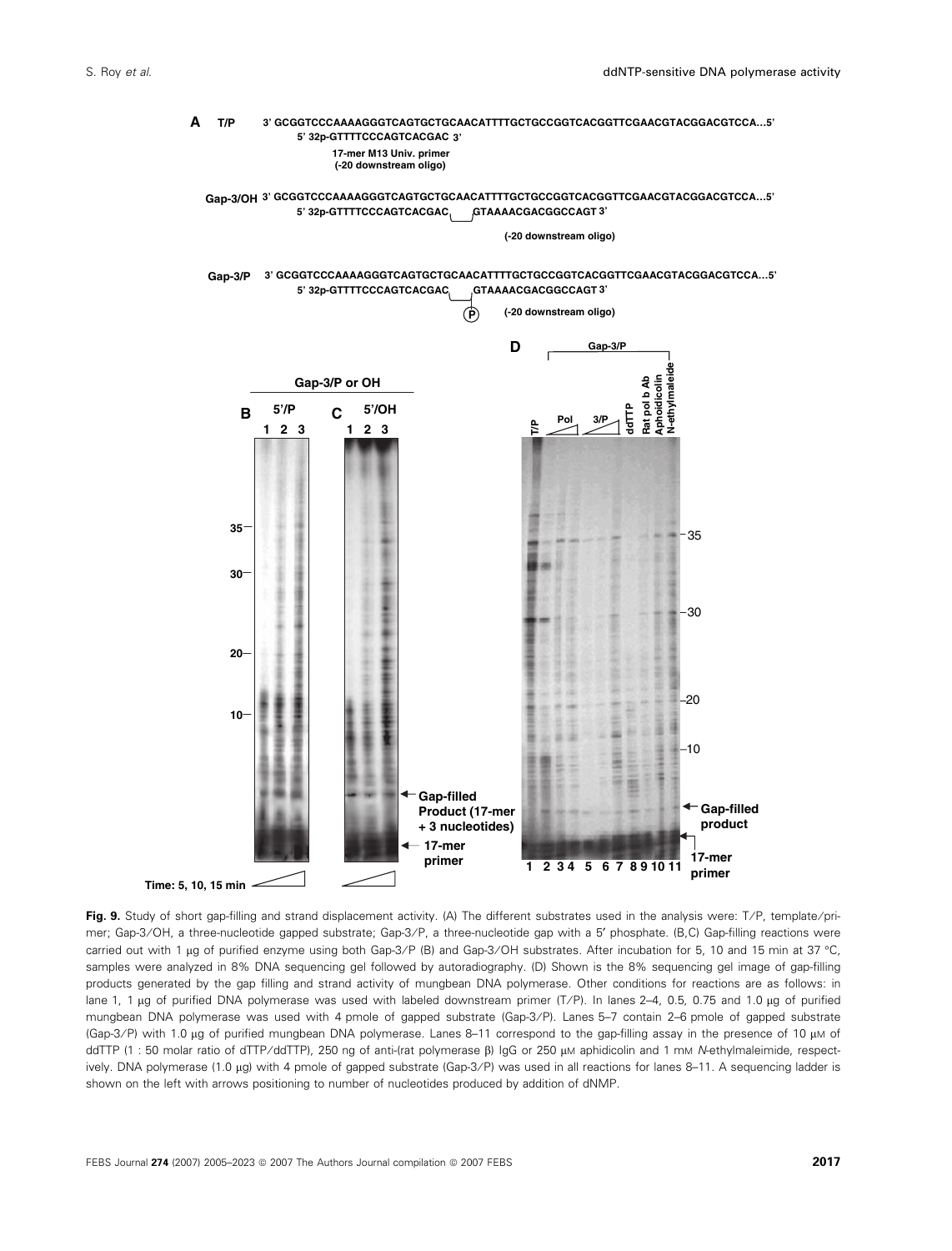

Fig. 9. Study of short gap-filling and strand displacement activity. (A) The different substrates used in the analysis were: T/P, template/primer; Gap-3/OH, a three-nucleotide gapped substrate; Gap-3/P, a three-nucleotide gap with a 5' phosphate. (B,C) Gap-filling reactions were carried out with 1 µg of purified enzyme using both Gap-3/P (B) and Gap-3/OH substrates. After incubation for 5, 10 and 15 min at 37 °C, samples were analyzed in 8% DNA sequencing gel followed by autoradiography. (D) Shown is the 8% sequencing gel image of gap-filling products generated by the gap filling and strand activity of mungbean DNA polymerase. Other conditions for reactions are as follows: in lane 1, 1 µg of purified DNA polymerase was used with labeled downstream primer (T/P). In lanes 2-4, 0.5, 0.75 and 1.0 µg of purified mungbean DNA polymerase was used with 4 pmole of gapped substrate (Gap-3/P). Lanes 5-7 contain 2-6 pmole of gapped substrate (Gap-3/P) with 1.0 µg of purified mungbean DNA polymerase. Lanes 8-11 correspond to the gap-filling assay in the presence of 10 µM of ddTTP (1 : 50 molar ratio of dTTP/ddTTP), 250 ng of anti-(rat polymerase β) IgG or 250 μM aphidicolin and 1 mM N-ethylmaleimide, respectively. DNA polymerase (1.0 µg) with 4 pmole of gapped substrate (Gap-3/P) was used in all reactions for lanes 8-11. A sequencing ladder is shown on the left with arrows positioning to number of nucleotides produced by addition of dNMP.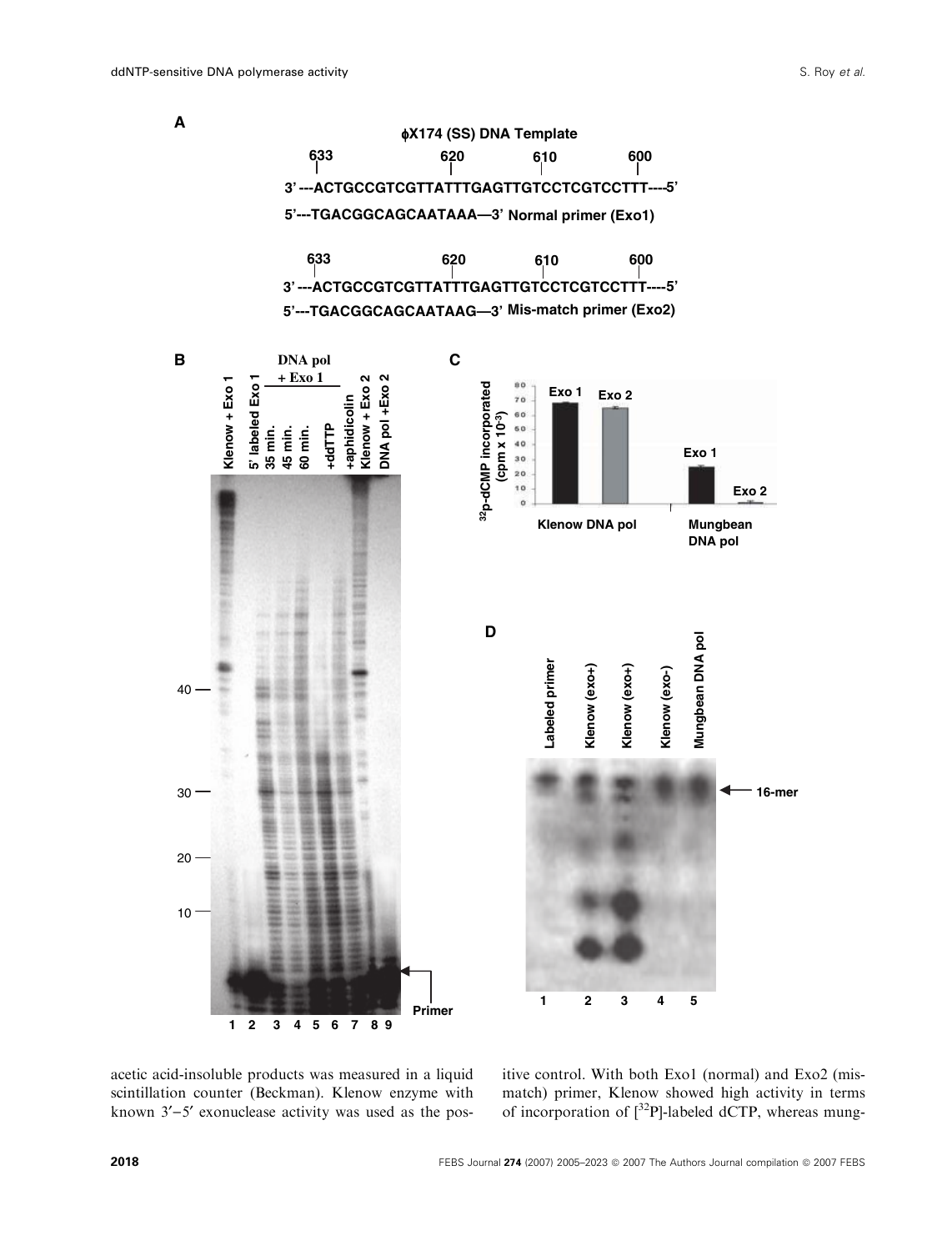

acetic acid-insoluble products was measured in a liquid scintillation counter (Beckman). Klenow enzyme with known  $3'-5'$  exonuclease activity was used as the positive control. With both Exo1 (normal) and Exo2 (mismatch) primer, Klenow showed high activity in terms of incorporation of  $\int^{32}P$ ]-labeled dCTP, whereas mung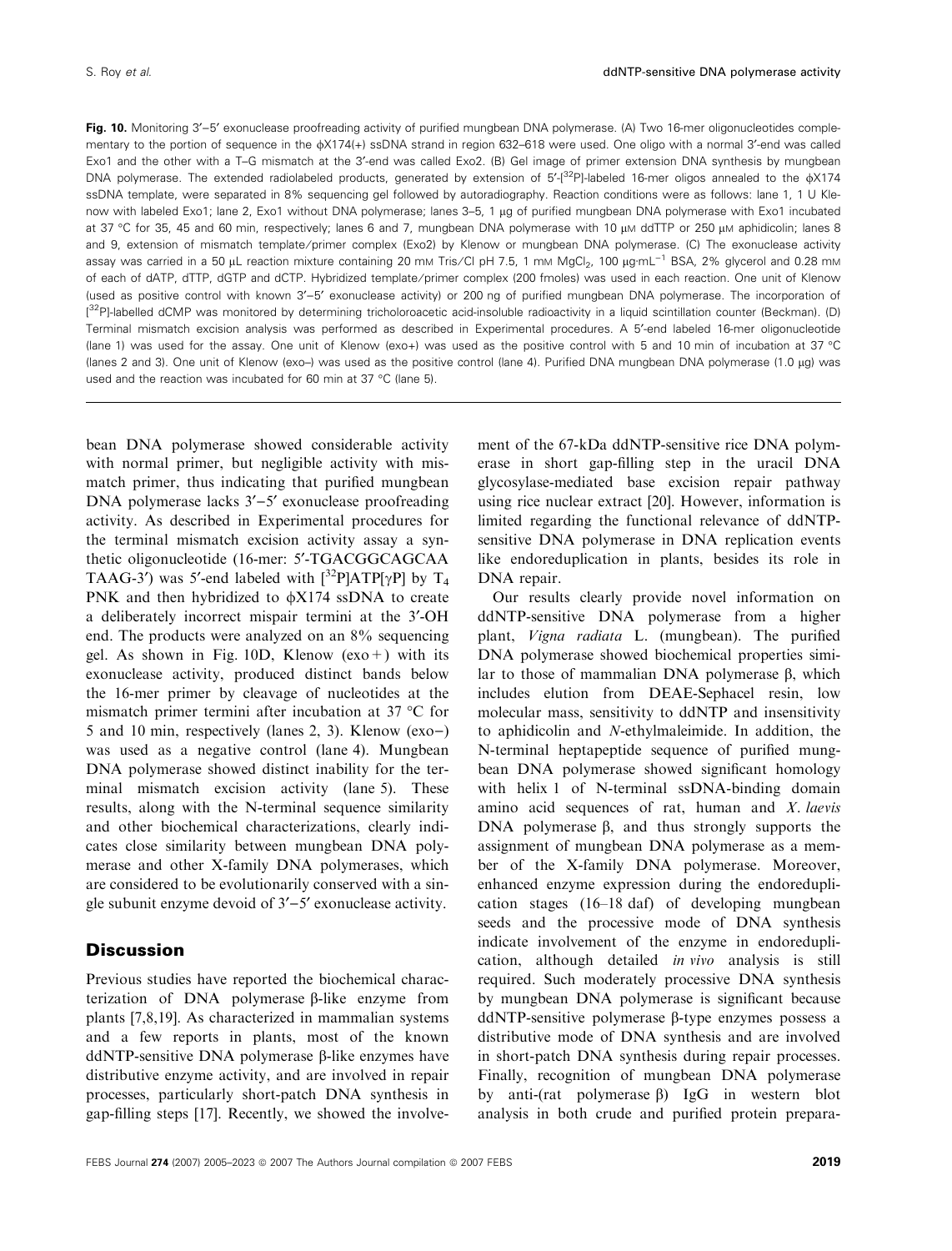Fig. 10. Monitoring 3'-5' exonuclease proofreading activity of purified mungbean DNA polymerase. (A) Two 16-mer oligonucleotides complementary to the portion of sequence in the  $\frac{1}{4}$  ssDNA strand in region 632-618 were used. One oligo with a normal 3'-end was called Exo1 and the other with a T-G mismatch at the 3'-end was called Exo2. (B) Gel image of primer extension DNA synthesis by mungbean DNA polymerase. The extended radiolabeled products, generated by extension of  $5'$ -[32P]-labeled 16-mer oligos annealed to the  $\frac{1}{4}$  X174 ssDNA template, were separated in 8% sequencing gel followed by autoradiography. Reaction conditions were as follows: lane 1, 1 U Klenow with labeled Exo1; lane 2, Exo1 without DNA polymerase; lanes 3-5, 1 µq of purified mungbean DNA polymerase with Exo1 incubated at 37 °C for 35, 45 and 60 min, respectively; lanes 6 and 7, mungbean DNA polymerase with 10 µm ddTTP or 250 µm aphidicolin; lanes 8 and 9, extension of mismatch template/primer complex (Exo2) by Klenow or mungbean DNA polymerase. (C) The exonuclease activity assay was carried in a 50 µL reaction mixture containing 20 mm Tris/Cl pH 7.5, 1 mm MgCl<sub>2</sub>, 100 µg·mL<sup>-1</sup> BSA, 2% glycerol and 0.28 mm of each of dATP, dTTP, dGTP and dCTP. Hybridized template ⁄ primer complex (200 fmoles) was used in each reaction. One unit of Klenow (used as positive control with known 3'-5' exonuclease activity) or 200 ng of purified mungbean DNA polymerase. The incorporation of [<sup>32</sup>P]-labelled dCMP was monitored by determining tricholoroacetic acid-insoluble radioactivity in a liquid scintillation counter (Beckman). (D) Terminal mismatch excision analysis was performed as described in Experimental procedures. A 5¢-end labeled 16-mer oligonucleotide (lane 1) was used for the assay. One unit of Klenow (exo+) was used as the positive control with 5 and 10 min of incubation at 37 °C (lanes 2 and 3). One unit of Klenow (exo-) was used as the positive control (lane 4). Purified DNA mungbean DNA polymerase (1.0 µg) was used and the reaction was incubated for 60 min at 37 °C (lane 5).

bean DNA polymerase showed considerable activity with normal primer, but negligible activity with mismatch primer, thus indicating that purified mungbean DNA polymerase lacks  $3'-5'$  exonuclease proofreading activity. As described in Experimental procedures for the terminal mismatch excision activity assay a synthetic oligonucleotide (16-mer: 5'-TGACGGCAGCAA TAAG-3<sup>'</sup>) was 5'-end labeled with  $\left[\frac{32P}{ATP[\gamma P]} \text{ by } T_4\right]$ PNK and then hybridized to  $\phi$ X174 ssDNA to create a deliberately incorrect mispair termini at the 3¢-OH end. The products were analyzed on an 8% sequencing gel. As shown in Fig.  $10D$ , Klenow (exo +) with its exonuclease activity, produced distinct bands below the 16-mer primer by cleavage of nucleotides at the mismatch primer termini after incubation at 37 °C for 5 and 10 min, respectively (lanes 2, 3). Klenow (exo)) was used as a negative control (lane 4). Mungbean DNA polymerase showed distinct inability for the terminal mismatch excision activity (lane 5). These results, along with the N-terminal sequence similarity and other biochemical characterizations, clearly indicates close similarity between mungbean DNA polymerase and other X-family DNA polymerases, which are considered to be evolutionarily conserved with a single subunit enzyme devoid of  $3'-5'$  exonuclease activity.

#### **Discussion**

Previous studies have reported the biochemical characterization of DNA polymerase  $\beta$ -like enzyme from plants [7,8,19]. As characterized in mammalian systems and a few reports in plants, most of the known ddNTP-sensitive DNA polymerase  $\beta$ -like enzymes have distributive enzyme activity, and are involved in repair processes, particularly short-patch DNA synthesis in gap-filling steps [17]. Recently, we showed the involvement of the 67-kDa ddNTP-sensitive rice DNA polymerase in short gap-filling step in the uracil DNA glycosylase-mediated base excision repair pathway using rice nuclear extract [20]. However, information is limited regarding the functional relevance of ddNTPsensitive DNA polymerase in DNA replication events like endoreduplication in plants, besides its role in DNA repair.

Our results clearly provide novel information on ddNTP-sensitive DNA polymerase from a higher plant, Vigna radiata L. (mungbean). The purified DNA polymerase showed biochemical properties similar to those of mammalian DNA polymerase  $\beta$ , which includes elution from DEAE-Sephacel resin, low molecular mass, sensitivity to ddNTP and insensitivity to aphidicolin and N-ethylmaleimide. In addition, the N-terminal heptapeptide sequence of purified mungbean DNA polymerase showed significant homology with helix 1 of N-terminal ssDNA-binding domain amino acid sequences of rat, human and  $X$ . laevis DNA polymerase  $\beta$ , and thus strongly supports the assignment of mungbean DNA polymerase as a member of the X-family DNA polymerase. Moreover, enhanced enzyme expression during the endoreduplication stages (16–18 daf) of developing mungbean seeds and the processive mode of DNA synthesis indicate involvement of the enzyme in endoreduplication, although detailed in vivo analysis is still required. Such moderately processive DNA synthesis by mungbean DNA polymerase is significant because  $ddNTP$ -sensitive polymerase  $\beta$ -type enzymes possess a distributive mode of DNA synthesis and are involved in short-patch DNA synthesis during repair processes. Finally, recognition of mungbean DNA polymerase by anti-(rat polymerase  $\beta$ ) IgG in western blot analysis in both crude and purified protein prepara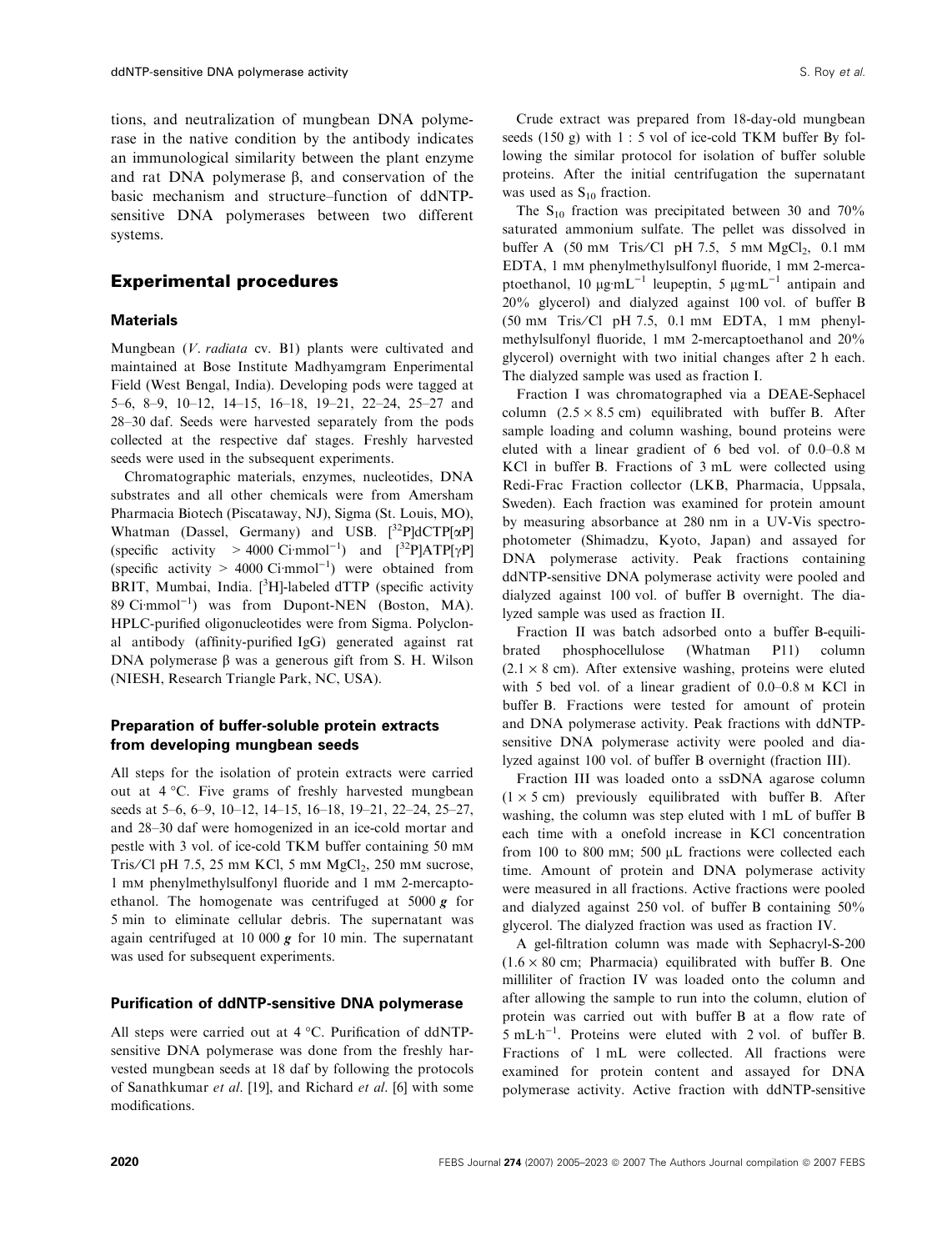tions, and neutralization of mungbean DNA polymerase in the native condition by the antibody indicates an immunological similarity between the plant enzyme and rat DNA polymerase  $\beta$ , and conservation of the basic mechanism and structure–function of ddNTPsensitive DNA polymerases between two different systems.

#### Experimental procedures

#### **Materials**

Mungbean (V. radiata cv. B1) plants were cultivated and maintained at Bose Institute Madhyamgram Enperimental Field (West Bengal, India). Developing pods were tagged at 5–6, 8–9, 10–12, 14–15, 16–18, 19–21, 22–24, 25–27 and 28–30 daf. Seeds were harvested separately from the pods collected at the respective daf stages. Freshly harvested seeds were used in the subsequent experiments.

Chromatographic materials, enzymes, nucleotides, DNA substrates and all other chemicals were from Amersham Pharmacia Biotech (Piscataway, NJ), Sigma (St. Louis, MO), Whatman (Dassel, Germany) and USB.  $[32P]dCTP[\alpha P]$ (specific activity > 4000 Ci·mmol<sup>-1</sup>) and  $[3^{2}P]ATP[\gamma P]$ (specific activity  $> 4000$  Ci·mmol<sup>-1</sup>) were obtained from BRIT, Mumbai, India.  $[{}^{3}H]$ -labeled dTTP (specific activity  $89$  Ci·mmol<sup>-1</sup>) was from Dupont-NEN (Boston, MA). HPLC-purified oligonucleotides were from Sigma. Polyclonal antibody (affinity-purified IgG) generated against rat DNA polymerase  $\beta$  was a generous gift from S. H. Wilson (NIESH, Research Triangle Park, NC, USA).

### Preparation of buffer-soluble protein extracts from developing mungbean seeds

All steps for the isolation of protein extracts were carried out at 4 °C. Five grams of freshly harvested mungbean seeds at 5–6, 6–9, 10–12, 14–15, 16–18, 19–21, 22–24, 25–27, and 28–30 daf were homogenized in an ice-cold mortar and pestle with 3 vol. of ice-cold TKM buffer containing 50 mm Tris/Cl pH 7.5, 25 mm KCl, 5 mm  $MgCl<sub>2</sub>$ , 250 mm sucrose, 1 mm phenylmethylsulfonyl fluoride and 1 mm 2-mercaptoethanol. The homogenate was centrifuged at 5000  $g$  for 5 min to eliminate cellular debris. The supernatant was again centrifuged at 10 000  $g$  for 10 min. The supernatant was used for subsequent experiments.

#### Purification of ddNTP-sensitive DNA polymerase

All steps were carried out at 4 °C. Purification of ddNTPsensitive DNA polymerase was done from the freshly harvested mungbean seeds at 18 daf by following the protocols of Sanathkumar et al. [19], and Richard et al. [6] with some modifications.

Crude extract was prepared from 18-day-old mungbean seeds (150 g) with 1 : 5 vol of ice-cold TKM buffer By following the similar protocol for isolation of buffer soluble proteins. After the initial centrifugation the supernatant was used as  $S_{10}$  fraction.

The  $S_{10}$  fraction was precipitated between 30 and 70% saturated ammonium sulfate. The pellet was dissolved in buffer A  $(50 \text{ mm Tris/Cl pH } 7.5, 5 \text{ mm MgCl}_2, 0.1 \text{ mm}$ EDTA, 1 mm phenylmethylsulfonyl fluoride, 1 mm 2-mercaptoethanol, 10  $\mu$ g·mL<sup>-1</sup> leupeptin, 5  $\mu$ g·mL<sup>-1</sup> antipain and 20% glycerol) and dialyzed against 100 vol. of buffer B (50 mm Tris⁄ Cl pH 7.5, 0.1 mm EDTA, 1 mm phenylmethylsulfonyl fluoride, 1 mm 2-mercaptoethanol and 20% glycerol) overnight with two initial changes after 2 h each. The dialyzed sample was used as fraction I.

Fraction I was chromatographed via a DEAE-Sephacel column  $(2.5 \times 8.5 \text{ cm})$  equilibrated with buffer B. After sample loading and column washing, bound proteins were eluted with a linear gradient of 6 bed vol. of 0.0–0.8 m KCl in buffer B. Fractions of 3 mL were collected using Redi-Frac Fraction collector (LKB, Pharmacia, Uppsala, Sweden). Each fraction was examined for protein amount by measuring absorbance at 280 nm in a UV-Vis spectrophotometer (Shimadzu, Kyoto, Japan) and assayed for DNA polymerase activity. Peak fractions containing ddNTP-sensitive DNA polymerase activity were pooled and dialyzed against 100 vol. of buffer B overnight. The dialyzed sample was used as fraction II.

Fraction II was batch adsorbed onto a buffer B-equilibrated phosphocellulose (Whatman P11) column  $(2.1 \times 8$  cm). After extensive washing, proteins were eluted with 5 bed vol. of a linear gradient of 0.0–0.8 m KCl in buffer B. Fractions were tested for amount of protein and DNA polymerase activity. Peak fractions with ddNTPsensitive DNA polymerase activity were pooled and dialyzed against 100 vol. of buffer B overnight (fraction III).

Fraction III was loaded onto a ssDNA agarose column  $(1 \times 5 \text{ cm})$  previously equilibrated with buffer B. After washing, the column was step eluted with 1 mL of buffer B each time with a onefold increase in KCl concentration from 100 to 800 mm; 500  $\mu$ L fractions were collected each time. Amount of protein and DNA polymerase activity were measured in all fractions. Active fractions were pooled and dialyzed against 250 vol. of buffer B containing 50% glycerol. The dialyzed fraction was used as fraction IV.

A gel-filtration column was made with Sephacryl-S-200  $(1.6 \times 80 \text{ cm}$ ; Pharmacia) equilibrated with buffer B. One milliliter of fraction IV was loaded onto the column and after allowing the sample to run into the column, elution of protein was carried out with buffer B at a flow rate of  $5 \text{ mL} \cdot \text{h}^{-1}$ . Proteins were eluted with 2 vol. of buffer B. Fractions of 1 mL were collected. All fractions were examined for protein content and assayed for DNA polymerase activity. Active fraction with ddNTP-sensitive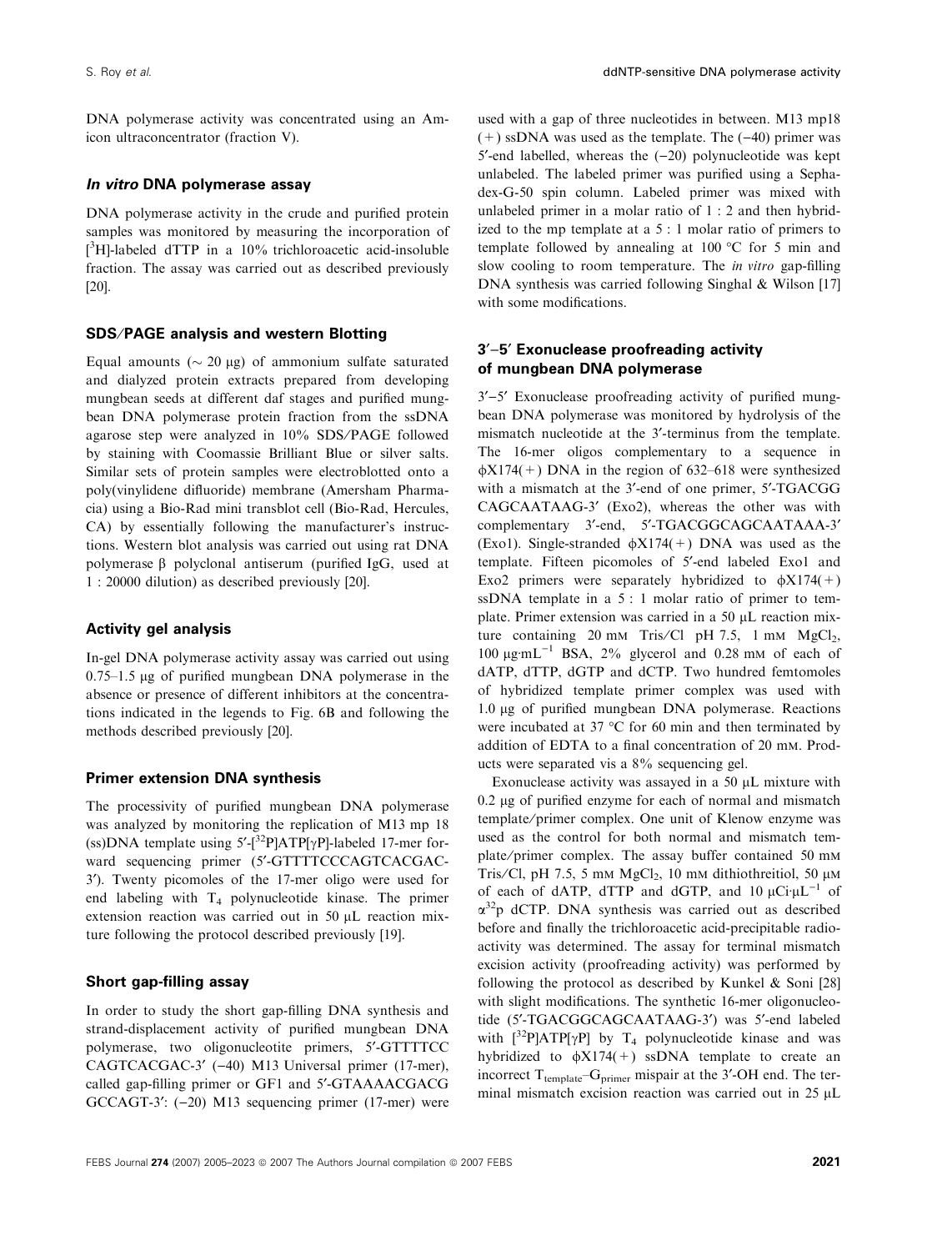DNA polymerase activity was concentrated using an Amicon ultraconcentrator (fraction V).

#### In vitro DNA polymerase assay

DNA polymerase activity in the crude and purified protein samples was monitored by measuring the incorporation of [ <sup>3</sup>H]-labeled dTTP in a 10% trichloroacetic acid-insoluble fraction. The assay was carried out as described previously [20].

#### SDS⁄PAGE analysis and western Blotting

Equal amounts ( $\sim$  20 µg) of ammonium sulfate saturated and dialyzed protein extracts prepared from developing mungbean seeds at different daf stages and purified mungbean DNA polymerase protein fraction from the ssDNA agarose step were analyzed in 10% SDS/PAGE followed by staining with Coomassie Brilliant Blue or silver salts. Similar sets of protein samples were electroblotted onto a poly(vinylidene difluoride) membrane (Amersham Pharmacia) using a Bio-Rad mini transblot cell (Bio-Rad, Hercules, CA) by essentially following the manufacturer's instructions. Western blot analysis was carried out using rat DNA polymerase  $\beta$  polyclonal antiserum (purified IgG, used at 1 : 20000 dilution) as described previously [20].

#### Activity gel analysis

In-gel DNA polymerase activity assay was carried out using  $0.75-1.5$  ug of purified mungbean DNA polymerase in the absence or presence of different inhibitors at the concentrations indicated in the legends to Fig. 6B and following the methods described previously [20].

#### Primer extension DNA synthesis

The processivity of purified mungbean DNA polymerase was analyzed by monitoring the replication of M13 mp 18 (ss)DNA template using  $5'-[^{32}P]ATP[\gamma P]$ -labeled 17-mer forward sequencing primer (5'-GTTTTCCCAGTCACGAC-3¢). Twenty picomoles of the 17-mer oligo were used for end labeling with T<sup>4</sup> polynucleotide kinase. The primer extension reaction was carried out in  $50 \mu L$  reaction mixture following the protocol described previously [19].

#### Short gap-filling assay

In order to study the short gap-filling DNA synthesis and strand-displacement activity of purified mungbean DNA polymerase, two oligonucleotite primers, 5¢-GTTTTCC CAGTCACGAC-3' (-40) M13 Universal primer (17-mer), called gap-filling primer or GF1 and 5'-GTAAAACGACG GCCAGT-3':  $(-20)$  M13 sequencing primer (17-mer) were used with a gap of three nucleotides in between. M13 mp18  $(+)$  ssDNA was used as the template. The  $(-40)$  primer was 5'-end labelled, whereas the  $(-20)$  polynucleotide was kept unlabeled. The labeled primer was purified using a Sephadex-G-50 spin column. Labeled primer was mixed with unlabeled primer in a molar ratio of 1 : 2 and then hybridized to the mp template at a 5 : 1 molar ratio of primers to template followed by annealing at 100  $^{\circ}$ C for 5 min and slow cooling to room temperature. The *in vitro* gap-filling DNA synthesis was carried following Singhal & Wilson [17] with some modifications.

#### $3'-5'$  Exonuclease proofreading activity of mungbean DNA polymerase

 $3'-5'$  Exonuclease proofreading activity of purified mungbean DNA polymerase was monitored by hydrolysis of the mismatch nucleotide at the 3'-terminus from the template. The 16-mer oligos complementary to a sequence in  $\phi$ X174(+) DNA in the region of 632–618 were synthesized with a mismatch at the 3'-end of one primer, 5'-TGACGG CAGCAATAAG-3' (Exo2), whereas the other was with complementary 3'-end, 5'-TGACGGCAGCAATAAA-3' (Exo1). Single-stranded  $\phi X174(+)$  DNA was used as the template. Fifteen picomoles of 5'-end labeled Exo1 and Exo2 primers were separately hybridized to  $\phi$ X174(+) ssDNA template in a 5 : 1 molar ratio of primer to template. Primer extension was carried in a 50 µL reaction mixture containing 20 mm Tris/Cl pH 7.5, 1 mm  $MgCl<sub>2</sub>$ ,  $100 \text{ µg}·mL^{-1}$  BSA,  $2\%$  glycerol and 0.28 mM of each of dATP, dTTP, dGTP and dCTP. Two hundred femtomoles of hybridized template primer complex was used with 1.0 µg of purified mungbean DNA polymerase. Reactions were incubated at 37  $\rm{^{\circ}C}$  for 60 min and then terminated by addition of EDTA to a final concentration of 20 mm. Products were separated vis a 8% sequencing gel.

Exonuclease activity was assayed in a 50  $\mu$ L mixture with  $0.2 \mu$ g of purified enzyme for each of normal and mismatch template/primer complex. One unit of Klenow enzyme was used as the control for both normal and mismatch template ⁄ primer complex. The assay buffer contained 50 mm Tris/Cl, pH 7.5, 5 mm  $MgCl<sub>2</sub>$ , 10 mm dithiothreitiol, 50  $\mu$ m of each of dATP, dTTP and dGTP, and  $10 \mu \text{Ci} \mu \text{L}^{-1}$  of a <sup>32</sup>p dCTP. DNA synthesis was carried out as described before and finally the trichloroacetic acid-precipitable radioactivity was determined. The assay for terminal mismatch excision activity (proofreading activity) was performed by following the protocol as described by Kunkel & Soni [28] with slight modifications. The synthetic 16-mer oligonucleotide (5'-TGACGGCAGCAATAAG-3') was 5'-end labeled with  $\lceil 3^2P|ATP[\gamma P]$  by  $T_4$  polynucleotide kinase and was hybridized to  $\phi X174(+)$  ssDNA template to create an incorrect  $T_{template} - G_{primer}$  mispair at the 3'-OH end. The terminal mismatch excision reaction was carried out in 25 µL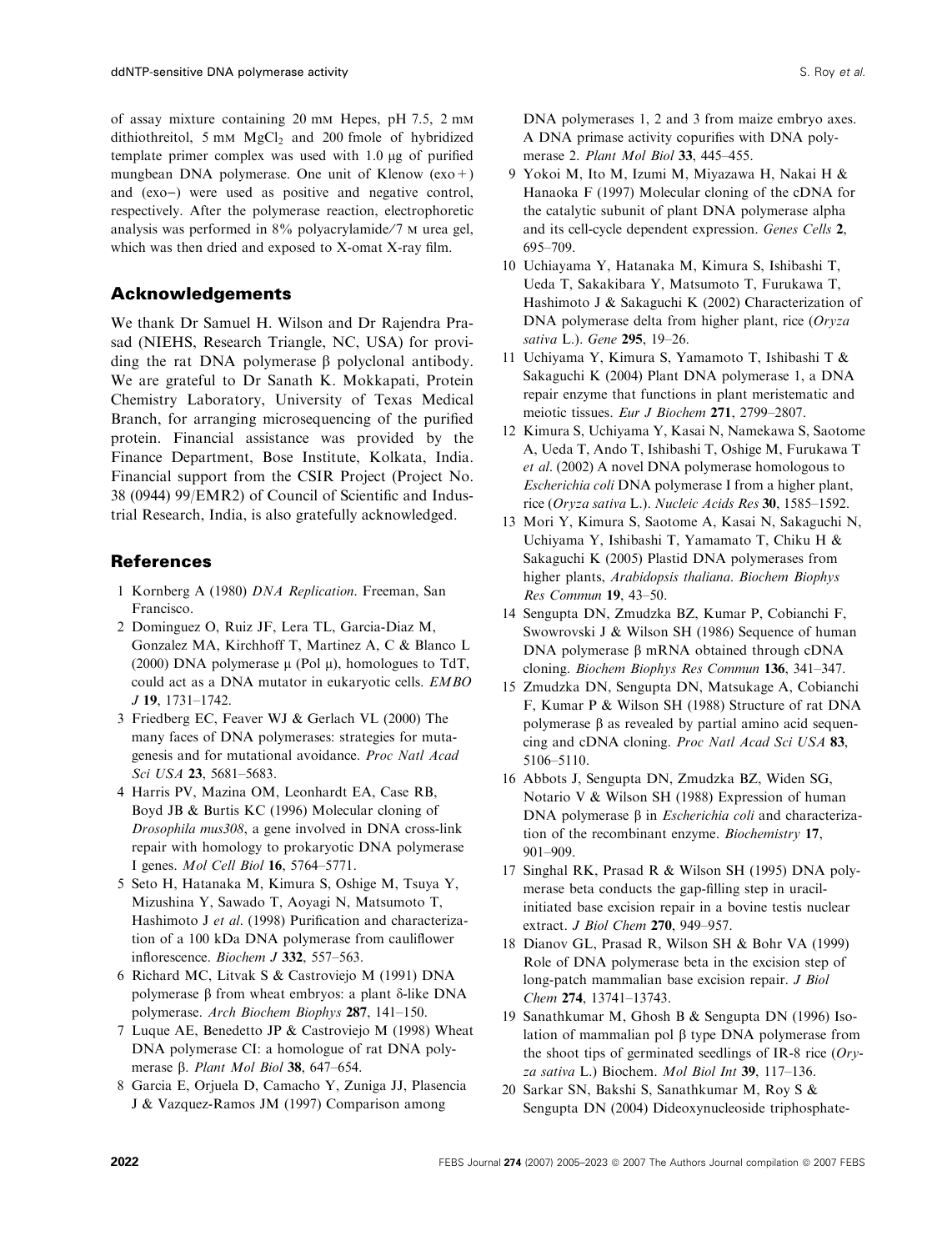of assay mixture containing 20 mm Hepes, pH 7.5, 2 mm dithiothreitol, 5 mm MgCl<sub>2</sub> and 200 fmole of hybridized template primer complex was used with  $1.0 \mu$ g of purified mungbean DNA polymerase. One unit of Klenow  $(exo+)$ and (exo-) were used as positive and negative control, respectively. After the polymerase reaction, electrophoretic analysis was performed in  $8\%$  polyacrylamide/7  $\mu$  urea gel, which was then dried and exposed to X-omat X-ray film.

# Acknowledgements

We thank Dr Samuel H. Wilson and Dr Rajendra Prasad (NIEHS, Research Triangle, NC, USA) for providing the rat DNA polymerase  $\beta$  polyclonal antibody. We are grateful to Dr Sanath K. Mokkapati, Protein Chemistry Laboratory, University of Texas Medical Branch, for arranging microsequencing of the purified protein. Financial assistance was provided by the Finance Department, Bose Institute, Kolkata, India. Financial support from the CSIR Project (Project No. 38 (0944) 99/EMR2) of Council of Scientific and Industrial Research, India, is also gratefully acknowledged.

# References

- 1 Kornberg A (1980) DNA Replication. Freeman, San Francisco.
- 2 Dominguez O, Ruiz JF, Lera TL, Garcia-Diaz M, Gonzalez MA, Kirchhoff T, Martinez A, C & Blanco L (2000) DNA polymerase  $\mu$  (Pol  $\mu$ ), homologues to TdT, could act as a DNA mutator in eukaryotic cells. EMBO J 19, 1731–1742.
- 3 Friedberg EC, Feaver WJ & Gerlach VL (2000) The many faces of DNA polymerases: strategies for mutagenesis and for mutational avoidance. Proc Natl Acad Sci USA 23, 5681–5683.
- 4 Harris PV, Mazina OM, Leonhardt EA, Case RB, Boyd JB & Burtis KC (1996) Molecular cloning of Drosophila mus308, a gene involved in DNA cross-link repair with homology to prokaryotic DNA polymerase I genes. Mol Cell Biol 16, 5764–5771.
- 5 Seto H, Hatanaka M, Kimura S, Oshige M, Tsuya Y, Mizushina Y, Sawado T, Aoyagi N, Matsumoto T, Hashimoto J et al. (1998) Purification and characterization of a 100 kDa DNA polymerase from cauliflower inflorescence. Biochem J 332, 557–563.
- 6 Richard MC, Litvak S & Castroviejo M (1991) DNA polymerase  $\beta$  from wheat embryos: a plant  $\delta$ -like DNA polymerase. Arch Biochem Biophys 287, 141–150.
- 7 Luque AE, Benedetto JP & Castroviejo M (1998) Wheat DNA polymerase CI: a homologue of rat DNA polymerase  $\beta$ . Plant Mol Biol 38, 647-654.
- 8 Garcia E, Orjuela D, Camacho Y, Zuniga JJ, Plasencia J & Vazquez-Ramos JM (1997) Comparison among

DNA polymerases 1, 2 and 3 from maize embryo axes. A DNA primase activity copurifies with DNA polymerase 2. Plant Mol Biol 33, 445-455.

- 9 Yokoi M, Ito M, Izumi M, Miyazawa H, Nakai H & Hanaoka F (1997) Molecular cloning of the cDNA for the catalytic subunit of plant DNA polymerase alpha and its cell-cycle dependent expression. Genes Cells 2, 695–709.
- 10 Uchiayama Y, Hatanaka M, Kimura S, Ishibashi T, Ueda T, Sakakibara Y, Matsumoto T, Furukawa T, Hashimoto J & Sakaguchi K (2002) Characterization of DNA polymerase delta from higher plant, rice (Oryza sativa L.). Gene 295, 19–26.
- 11 Uchiyama Y, Kimura S, Yamamoto T, Ishibashi T & Sakaguchi K (2004) Plant DNA polymerase 1, a DNA repair enzyme that functions in plant meristematic and meiotic tissues. Eur J Biochem 271, 2799–2807.
- 12 Kimura S, Uchiyama Y, Kasai N, Namekawa S, Saotome A, Ueda T, Ando T, Ishibashi T, Oshige M, Furukawa T et al. (2002) A novel DNA polymerase homologous to Escherichia coli DNA polymerase I from a higher plant, rice (Oryza sativa L.). Nucleic Acids Res 30, 1585-1592.
- 13 Mori Y, Kimura S, Saotome A, Kasai N, Sakaguchi N, Uchiyama Y, Ishibashi T, Yamamato T, Chiku H & Sakaguchi K (2005) Plastid DNA polymerases from higher plants, Arabidopsis thaliana. Biochem Biophys Res Commun 19, 43–50.
- 14 Sengupta DN, Zmudzka BZ, Kumar P, Cobianchi F, Swowrovski J & Wilson SH (1986) Sequence of human DNA polymerase  $\beta$  mRNA obtained through cDNA cloning. Biochem Biophys Res Commun 136, 341–347.
- 15 Zmudzka DN, Sengupta DN, Matsukage A, Cobianchi F, Kumar P & Wilson SH (1988) Structure of rat DNA polymerase  $\beta$  as revealed by partial amino acid sequencing and cDNA cloning. Proc Natl Acad Sci USA 83, 5106–5110.
- 16 Abbots J, Sengupta DN, Zmudzka BZ, Widen SG, Notario V & Wilson SH (1988) Expression of human DNA polymerase  $\beta$  in *Escherichia coli* and characterization of the recombinant enzyme. Biochemistry 17, 901–909.
- 17 Singhal RK, Prasad R & Wilson SH (1995) DNA polymerase beta conducts the gap-filling step in uracilinitiated base excision repair in a bovine testis nuclear extract. J Biol Chem 270, 949-957.
- 18 Dianov GL, Prasad R, Wilson SH & Bohr VA (1999) Role of DNA polymerase beta in the excision step of long-patch mammalian base excision repair. J Biol Chem 274, 13741–13743.
- 19 Sanathkumar M, Ghosh B & Sengupta DN (1996) Isolation of mammalian pol  $\beta$  type DNA polymerase from the shoot tips of germinated seedlings of IR-8 rice  $(Ory$ za sativa L.) Biochem. Mol Biol Int 39, 117–136.
- 20 Sarkar SN, Bakshi S, Sanathkumar M, Roy S & Sengupta DN (2004) Dideoxynucleoside triphosphate-